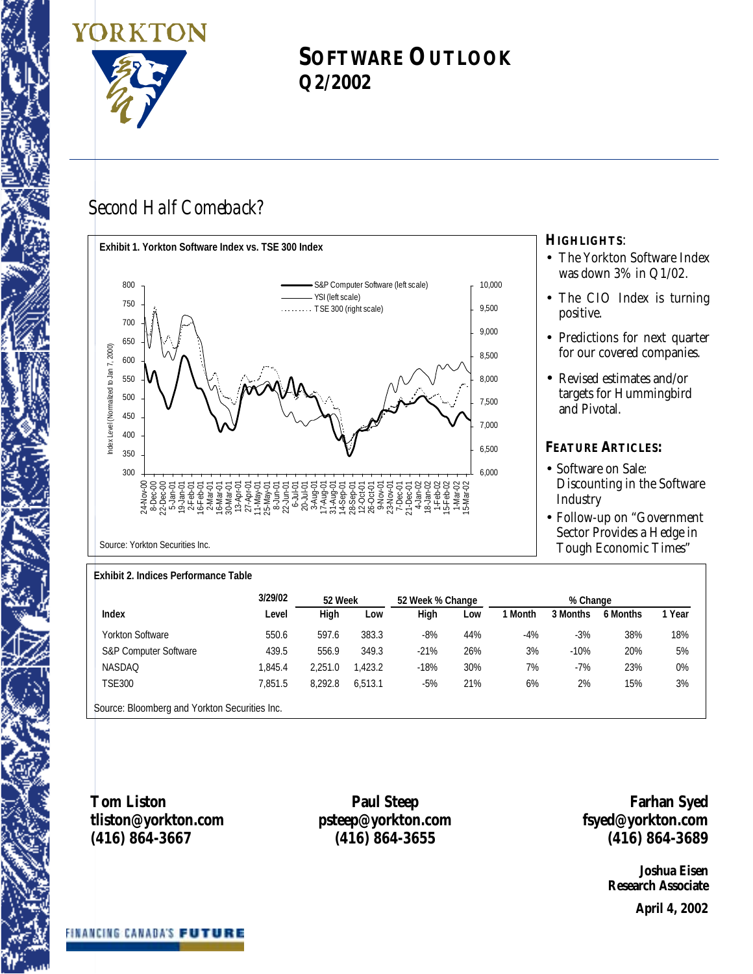



# **SOFTWARE OUTLOOK Q2/2002**

# *Second Half Comeback?*



#### **HIGHLIGHTS**:

- The Yorkton Software Index was down 3% in Q1/02.
- The CIO Index is turning positive.
- Predictions for next quarter for our covered companies.
- Revised estimates and/or targets for Hummingbird and Pivotal.

#### **FEATURE ARTICLES:**

- Software on Sale: Discounting in the Software Industry
- Follow-up on "Government Sector Provides a Hedge in Tough Economic Times"

#### **Exhibit 2. Indices Performance Table**

|                                  | 3/29/02 | 52 Week |         | 52 Week % Change |     |         | % Change |          |      |
|----------------------------------|---------|---------|---------|------------------|-----|---------|----------|----------|------|
| <b>Index</b>                     | Level   | High    | Low     | High             | Low | l Month | 3 Months | 6 Months | Year |
| <b>Yorkton Software</b>          | 550.6   | 597.6   | 383.3   | $-8%$            | 44% | $-4%$   | $-3%$    | 38%      | 18%  |
| <b>S&amp;P Computer Software</b> | 439.5   | 556.9   | 349.3   | $-21%$           | 26% | 3%      | $-10%$   | 20%      | 5%   |
| <b>NASDAQ</b>                    | .845.4  | 2.251.0 | .423.2  | $-18%$           | 30% | 7%      | $-7%$    | 23%      | 0%   |
| <b>TSE300</b>                    | 7.851.5 | 8.292.8 | 6.513.1 | $-5%$            | 21% | 6%      | 2%       | 15%      | 3%   |
|                                  |         |         |         |                  |     |         |          |          |      |

Source: Bloomberg and Yorkton Securities Inc.

**Tom Liston tliston@yorkton.com (416) 864-3667**

**Paul Steep psteep@yorkton.com (416) 864-3655**

**Farhan Syed fsyed@yorkton.com (416) 864-3689**

> **Joshua Eisen Research Associate April 4, 2002**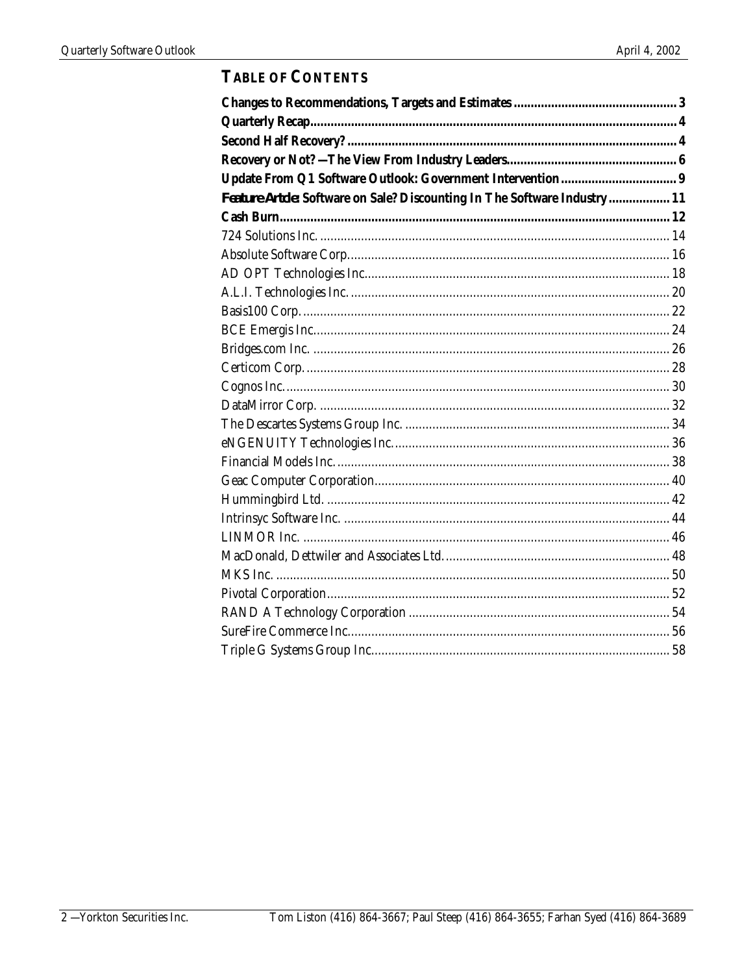# **TABLE OF CONTENTS**

| Feature Artcle: Software on Sale? Discounting In The Software Industry 11 |  |
|---------------------------------------------------------------------------|--|
|                                                                           |  |
|                                                                           |  |
|                                                                           |  |
|                                                                           |  |
|                                                                           |  |
|                                                                           |  |
|                                                                           |  |
|                                                                           |  |
|                                                                           |  |
|                                                                           |  |
|                                                                           |  |
|                                                                           |  |
|                                                                           |  |
|                                                                           |  |
|                                                                           |  |
|                                                                           |  |
|                                                                           |  |
|                                                                           |  |
|                                                                           |  |
|                                                                           |  |
|                                                                           |  |
|                                                                           |  |
|                                                                           |  |
|                                                                           |  |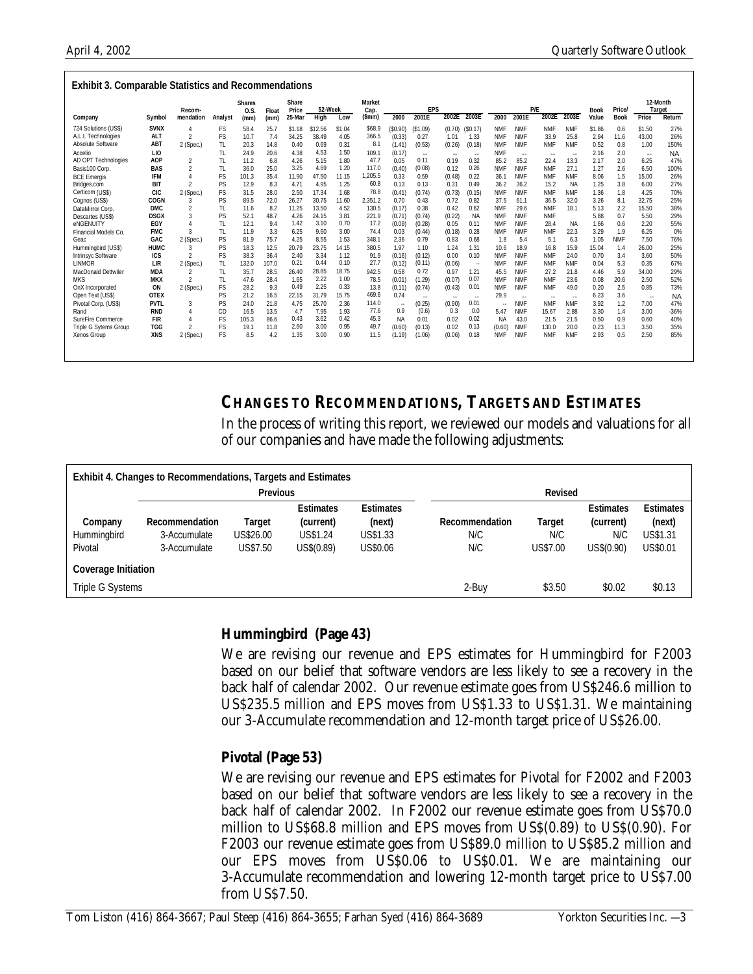| 2003E<br>2003E<br>2002E<br>2000<br>2001E<br>2002E<br><b>Book</b><br>$(\text{5mm})$<br>2001E<br>Value<br>25-Mar<br>2000<br>Price<br>mendation<br>High<br>Company<br>Symbol<br>Analyst<br>(mm)<br>Low<br>(mm)<br>724 Solutions (US\$)<br><b>SVNX</b><br>\$68.9<br><b>NMF</b><br>FS<br>58.4<br>25.7<br>\$1.18<br>\$12.56<br>\$1.04<br>(S0.90)<br>(0.70)<br>(S0.17)<br><b>NMF</b><br><b>NMF</b><br><b>NMF</b><br>\$1.86<br>0.6<br>\$1.50<br>(S1.09)<br>$\overline{4}$<br><b>ALT</b><br>A.L.I. Technologies<br>$\mathfrak{D}$<br>FS<br>7.4<br>366.5<br><b>NMF</b><br>33.9<br>25.8<br>10.7<br>34.25<br>38.49<br>4.05<br>(0.33)<br>0.27<br><b>NMF</b><br>2.94<br>11.6<br>43.00<br>1.01<br>1.33<br>Absolute Software<br>ABT<br>TL<br>14.8<br>8.1<br><b>NMF</b><br><b>NMF</b><br>0.52<br>2 (Spec.)<br>20.3<br>0.40<br>0.69<br>0.31<br>(1.41)<br>(0.53)<br>(0.26)<br><b>NMF</b><br><b>NMF</b><br>0.8<br>1.00<br>(0.18)<br>4.53<br>1.50<br>LIO<br>TL<br>24.9<br>20.6<br>4.38<br>(0.17)<br><b>NMF</b><br>2.16<br>2.0<br>Accelio<br>109.1<br>$\overline{\phantom{a}}$<br>۰.<br>$\overline{\phantom{a}}$<br>$\sim$<br>$\sim$<br>н.<br>$\overline{\phantom{a}}$<br>AD OPT Technologies<br>0.11<br><b>AOP</b><br>47.7<br>TL<br>6.8<br>0.32<br>2.17<br>2.0<br>$\overline{2}$<br>11.2<br>4.26<br>5.15<br>1.80<br>0.05<br>0.19<br>85.2<br>85.2<br>22.4<br>13.3<br>6.25<br>3.25<br>4.69<br>1.20<br>$\overline{2}$<br>TL<br>25.0<br>117.0<br>(0.08)<br>0.26<br>2.6<br>36.0<br><b>NMF</b><br><b>NMF</b><br>27.1<br>1.27<br>6.50<br>Basis100 Corp.<br><b>BAS</b><br>(0.40)<br>0.12<br><b>NMF</b><br>1.5<br>FS<br>1,205.5<br><b>IFM</b><br>$\overline{4}$<br>101.3<br>35.4<br>47.50<br>11.15<br>0.33<br>0.59<br>0.22<br>36.<br><b>NMF</b><br><b>NMF</b><br><b>NMF</b><br>8.06<br>11.90<br>(0.48)<br>15.00<br><b>BCE Emergis</b><br>$\overline{\phantom{a}}$<br>3.8<br><b>BIT</b><br>PS<br>8.3<br>1.25<br>60.8<br>0.13<br>36.2<br><b>NA</b><br>1.25<br>12.9<br>4.71<br>4.95<br>0.13<br>0.31<br>0.49<br>36.2<br>15.2<br>6.00<br>Bridges.com<br><b>CIC</b><br>2 (Spec.<br>78.8<br>1.8<br>FS<br>31.5<br>28.0<br>17.34<br>1.68<br>(0.41)<br>(0.73)<br><b>NMF</b><br><b>NMF</b><br><b>NMF</b><br>1.36<br>4.25<br>Certicom (US\$)<br>2.50<br>(0.74)<br>(0.15)<br><b>NMF</b><br>PS<br>89.5<br>72.0<br>26.27<br>37.5<br>32.0<br>3.26<br>8.1<br><b>COGN</b><br>30.75<br>11.60<br>2,351.2<br>0.70<br>0.43<br>0.72<br>0.82<br>61.1<br>36.5<br>32.75<br>Cognos (US\$)<br>3<br><b>DMC</b><br>2.2<br>$\overline{2}$<br>TL<br>8.2<br>11.25<br>13.50<br>4.52<br>(0.17)<br>0.38<br>0.62<br><b>NMF</b><br>29.6<br><b>NMF</b><br>18.1<br>5.13<br>15.50<br>11.6<br>130.5<br>0.42<br>DataMirror Corp.<br>PS<br>(0.71)<br>(0.74)<br>(0.22)<br><b>NMF</b><br><b>NMF</b><br><b>NMF</b><br><b>DSGX</b><br>3<br>52.1<br>48.7<br>4.26<br>24.15<br>3.81<br><b>NA</b><br>5.88<br>0.7<br>5.50<br>221.9<br>Descartes (US\$)<br>3.10<br>0.70<br>1.42<br>17.2<br>eNGENUITY<br>EGY<br>TL<br>12.1<br>9.4<br>(0.09)<br>(0.28)<br><b>NMF</b><br><b>NMF</b><br>28.4<br><b>NA</b><br>2.20<br>$\Delta$<br>0.05<br>0.11<br>0.6<br>1.66<br><b>FMC</b><br>$\mathbf{3}$<br><b>TL</b><br><b>NMF</b><br>3.29<br>Financial Models Co.<br>3.3<br>6.25<br>9.60<br>3.00<br>(0.18)<br>0.28<br><b>NMF</b><br><b>NMF</b><br>22.3<br>1.9<br>6.25<br>11.9<br>74.4<br>0.03<br>(0.44)<br>8.55<br>1.53<br>2 (Spec.)<br>PS<br>4.25<br>GAC<br>75.7<br>1.05<br><b>NMF</b><br>81.9<br>348.1<br>2.36<br>0.79<br>0.83<br>0.68<br>5.4<br>5.1<br>6.3<br>7.50<br>Geac<br>1.8<br>PS<br>Humminabird (US\$)<br><b>HUMC</b><br>18.3<br>12.5<br>20.79<br>23.75<br>14.15<br>1.97<br>15.9<br>3<br>380.5<br>1.10<br>1.24<br>1.31<br>10.6<br>18.9<br>16.8<br>15.04<br>1.4<br>26.00<br>Intrinsyc Software<br><b>ICS</b><br>$\mathfrak{p}$<br>FS<br>36.4<br>(0.16)<br>(0.12)<br>0.00<br><b>NMF</b><br>0.70<br>38.3<br>2.40<br>3.34<br>1.12<br>91.9<br>0.10<br><b>NMF</b><br><b>NMF</b><br>24.0<br>3.4<br>3.60<br>0.21<br>0.10<br>27.7<br>(0.11)<br>LINMOR<br>2 (Spec.)<br>107.0<br>0.44<br><b>NMF</b><br>LIR<br>TL<br>132.0<br>(0.12)<br>(0.06)<br><b>NMF</b><br><b>NMF</b><br><b>NMF</b><br>0.04<br>5.3<br>0.35<br>$\overline{\phantom{a}}$<br>28.85<br>18.75<br>TL<br>28.5<br>0.72<br>5.9<br>MacDonald Dettwiler<br><b>MDA</b><br>35.7<br>942.5<br>0.58<br>0.97<br>1.21<br>45.5<br><b>NMF</b><br>27.2<br>21.8<br>4.46<br>34.00<br>2<br>26.40<br>2.22<br>1.00<br>0.07<br><b>MKS</b><br><b>TL</b><br>28.4<br>(0.01)<br>(0.07)<br><b>NMF</b><br><b>NMF</b><br><b>NMF</b><br>23.6<br>0.08<br>20.6<br><b>MKX</b><br>$\mathfrak{p}$<br>47.6<br>1.65<br>78.5<br>(1.29)<br>2.50<br>2.25<br>FS<br>9.3<br>0.49<br>0.33<br>2.5<br>ON<br>2 (Spec.)<br>28.2<br>(0.11)<br>(0.74)<br>(0.43)<br>0.01<br><b>NMF</b><br><b>NMF</b><br><b>NMF</b><br>49.0<br>0.20<br>0.85<br>OnX Incorporated<br>13.8<br>PS<br>16.5<br>469.6<br>6.23<br>3.6<br>Open Text (US\$)<br><b>OTEX</b><br>21.2<br>31.79<br>15.75<br>0.74<br>29.9<br>22.15<br>$\sim$<br>$\sim$<br>٠.<br>$\sim$<br>$\sim$<br>۰.<br>$\sim$<br>PS<br>(0.90)<br>0.01<br>1.2<br>24.0<br>21.8<br>114.0<br>(0.25)<br><b>NMF</b><br><b>NMF</b><br><b>NMF</b><br>3.92<br>Pivotal Corp. (US\$)<br><b>PVTL</b><br>3<br>4.75<br>25.70<br>2.36<br>7.00<br>$\sim$<br>$\ddotsc$<br>0.9<br>77.6<br>(0.6)<br>0.0<br><b>RND</b><br>0.3<br>CD<br>$\overline{4}$<br>16.5<br>13.5<br>7.95<br>1.93<br>5.47<br><b>NMF</b><br>2.88<br>3.30<br>3.00<br>4.7<br>15.67<br>1.4<br>Rand<br>3.62<br>0.42<br>45.3<br>0.02<br>0.43<br>SureFire Commerce<br><b>FIR</b><br>FS<br>86.6<br>21.5<br>0.50<br>$\overline{4}$<br>105.3<br><b>NA</b><br>0.01<br>0.02<br><b>NA</b><br>43.0<br>21.5<br>0.9<br>0.60<br>3.00<br>FS<br>2.60<br>0.95<br>49.7<br>0.13<br><b>Triple G Sytems Group</b><br><b>TGG</b><br>$\mathfrak{p}$<br>19.1<br>11.8<br>(0.60)<br>(0.13)<br>0.02<br><b>NMF</b><br>130.0<br>20.0<br>0.23<br>(0.60)<br>11.3<br>3.50 |             |            | Recom-    |    | <b>Shares</b><br>0.5. | Float | Share<br>Price | 52-Week |      | Market<br>Cap. |        | EPS    |        |      |            |            | P/E        |            | <b>Book</b> | Price/ |      | 12-Month<br>Target |
|----------------------------------------------------------------------------------------------------------------------------------------------------------------------------------------------------------------------------------------------------------------------------------------------------------------------------------------------------------------------------------------------------------------------------------------------------------------------------------------------------------------------------------------------------------------------------------------------------------------------------------------------------------------------------------------------------------------------------------------------------------------------------------------------------------------------------------------------------------------------------------------------------------------------------------------------------------------------------------------------------------------------------------------------------------------------------------------------------------------------------------------------------------------------------------------------------------------------------------------------------------------------------------------------------------------------------------------------------------------------------------------------------------------------------------------------------------------------------------------------------------------------------------------------------------------------------------------------------------------------------------------------------------------------------------------------------------------------------------------------------------------------------------------------------------------------------------------------------------------------------------------------------------------------------------------------------------------------------------------------------------------------------------------------------------------------------------------------------------------------------------------------------------------------------------------------------------------------------------------------------------------------------------------------------------------------------------------------------------------------------------------------------------------------------------------------------------------------------------------------------------------------------------------------------------------------------------------------------------------------------------------------------------------------------------------------------------------------------------------------------------------------------------------------------------------------------------------------------------------------------------------------------------------------------------------------------------------------------------------------------------------------------------------------------------------------------------------------------------------------------------------------------------------------------------------------------------------------------------------------------------------------------------------------------------------------------------------------------------------------------------------------------------------------------------------------------------------------------------------------------------------------------------------------------------------------------------------------------------------------------------------------------------------------------------------------------------------------------------------------------------------------------------------------------------------------------------------------------------------------------------------------------------------------------------------------------------------------------------------------------------------------------------------------------------------------------------------------------------------------------------------------------------------------------------------------------------------------------------------------------------------------------------------------------------------------------------------------------------------------------------------------------------------------------------------------------------------------------------------------------------------------------------------------------------------------------------------------------------------------------------------------------------------------------------------------------------------------------------------------------------------------------------------------------------------------------------------------------------------------------------------------------------------------------------------------------------------------------------------------------------------------------------------------------------------------------------------------------------------------------------------------------------------------------------------------------------------------------------------------------------------------------------------------------------------------------------------------------------------------------------------------------------------------------------------------------------------------------------------------------------------------------------------------------------------------------------------------------------------------------------------------------------------------------------------------------------------------------------------------------------------------------------------------------------------------------------|-------------|------------|-----------|----|-----------------------|-------|----------------|---------|------|----------------|--------|--------|--------|------|------------|------------|------------|------------|-------------|--------|------|--------------------|
|                                                                                                                                                                                                                                                                                                                                                                                                                                                                                                                                                                                                                                                                                                                                                                                                                                                                                                                                                                                                                                                                                                                                                                                                                                                                                                                                                                                                                                                                                                                                                                                                                                                                                                                                                                                                                                                                                                                                                                                                                                                                                                                                                                                                                                                                                                                                                                                                                                                                                                                                                                                                                                                                                                                                                                                                                                                                                                                                                                                                                                                                                                                                                                                                                                                                                                                                                                                                                                                                                                                                                                                                                                                                                                                                                                                                                                                                                                                                                                                                                                                                                                                                                                                                                                                                                                                                                                                                                                                                                                                                                                                                                                                                                                                                                                                                                                                                                                                                                                                                                                                                                                                                                                                                                                                                                                                                                                                                                                                                                                                                                                                                                                                                                                                                                                                                                                  |             |            |           |    |                       |       |                |         |      |                |        |        |        |      |            |            |            |            |             |        |      | Return             |
|                                                                                                                                                                                                                                                                                                                                                                                                                                                                                                                                                                                                                                                                                                                                                                                                                                                                                                                                                                                                                                                                                                                                                                                                                                                                                                                                                                                                                                                                                                                                                                                                                                                                                                                                                                                                                                                                                                                                                                                                                                                                                                                                                                                                                                                                                                                                                                                                                                                                                                                                                                                                                                                                                                                                                                                                                                                                                                                                                                                                                                                                                                                                                                                                                                                                                                                                                                                                                                                                                                                                                                                                                                                                                                                                                                                                                                                                                                                                                                                                                                                                                                                                                                                                                                                                                                                                                                                                                                                                                                                                                                                                                                                                                                                                                                                                                                                                                                                                                                                                                                                                                                                                                                                                                                                                                                                                                                                                                                                                                                                                                                                                                                                                                                                                                                                                                                  |             |            |           |    |                       |       |                |         |      |                |        |        |        |      |            |            |            |            |             |        |      | 27%                |
|                                                                                                                                                                                                                                                                                                                                                                                                                                                                                                                                                                                                                                                                                                                                                                                                                                                                                                                                                                                                                                                                                                                                                                                                                                                                                                                                                                                                                                                                                                                                                                                                                                                                                                                                                                                                                                                                                                                                                                                                                                                                                                                                                                                                                                                                                                                                                                                                                                                                                                                                                                                                                                                                                                                                                                                                                                                                                                                                                                                                                                                                                                                                                                                                                                                                                                                                                                                                                                                                                                                                                                                                                                                                                                                                                                                                                                                                                                                                                                                                                                                                                                                                                                                                                                                                                                                                                                                                                                                                                                                                                                                                                                                                                                                                                                                                                                                                                                                                                                                                                                                                                                                                                                                                                                                                                                                                                                                                                                                                                                                                                                                                                                                                                                                                                                                                                                  |             |            |           |    |                       |       |                |         |      |                |        |        |        |      |            |            |            |            |             |        |      | 26%                |
|                                                                                                                                                                                                                                                                                                                                                                                                                                                                                                                                                                                                                                                                                                                                                                                                                                                                                                                                                                                                                                                                                                                                                                                                                                                                                                                                                                                                                                                                                                                                                                                                                                                                                                                                                                                                                                                                                                                                                                                                                                                                                                                                                                                                                                                                                                                                                                                                                                                                                                                                                                                                                                                                                                                                                                                                                                                                                                                                                                                                                                                                                                                                                                                                                                                                                                                                                                                                                                                                                                                                                                                                                                                                                                                                                                                                                                                                                                                                                                                                                                                                                                                                                                                                                                                                                                                                                                                                                                                                                                                                                                                                                                                                                                                                                                                                                                                                                                                                                                                                                                                                                                                                                                                                                                                                                                                                                                                                                                                                                                                                                                                                                                                                                                                                                                                                                                  |             |            |           |    |                       |       |                |         |      |                |        |        |        |      |            |            |            |            |             |        |      | 150%               |
|                                                                                                                                                                                                                                                                                                                                                                                                                                                                                                                                                                                                                                                                                                                                                                                                                                                                                                                                                                                                                                                                                                                                                                                                                                                                                                                                                                                                                                                                                                                                                                                                                                                                                                                                                                                                                                                                                                                                                                                                                                                                                                                                                                                                                                                                                                                                                                                                                                                                                                                                                                                                                                                                                                                                                                                                                                                                                                                                                                                                                                                                                                                                                                                                                                                                                                                                                                                                                                                                                                                                                                                                                                                                                                                                                                                                                                                                                                                                                                                                                                                                                                                                                                                                                                                                                                                                                                                                                                                                                                                                                                                                                                                                                                                                                                                                                                                                                                                                                                                                                                                                                                                                                                                                                                                                                                                                                                                                                                                                                                                                                                                                                                                                                                                                                                                                                                  |             |            |           |    |                       |       |                |         |      |                |        |        |        |      |            |            |            |            |             |        |      | <b>NA</b>          |
|                                                                                                                                                                                                                                                                                                                                                                                                                                                                                                                                                                                                                                                                                                                                                                                                                                                                                                                                                                                                                                                                                                                                                                                                                                                                                                                                                                                                                                                                                                                                                                                                                                                                                                                                                                                                                                                                                                                                                                                                                                                                                                                                                                                                                                                                                                                                                                                                                                                                                                                                                                                                                                                                                                                                                                                                                                                                                                                                                                                                                                                                                                                                                                                                                                                                                                                                                                                                                                                                                                                                                                                                                                                                                                                                                                                                                                                                                                                                                                                                                                                                                                                                                                                                                                                                                                                                                                                                                                                                                                                                                                                                                                                                                                                                                                                                                                                                                                                                                                                                                                                                                                                                                                                                                                                                                                                                                                                                                                                                                                                                                                                                                                                                                                                                                                                                                                  |             |            |           |    |                       |       |                |         |      |                |        |        |        |      |            |            |            |            |             |        |      | 47%                |
|                                                                                                                                                                                                                                                                                                                                                                                                                                                                                                                                                                                                                                                                                                                                                                                                                                                                                                                                                                                                                                                                                                                                                                                                                                                                                                                                                                                                                                                                                                                                                                                                                                                                                                                                                                                                                                                                                                                                                                                                                                                                                                                                                                                                                                                                                                                                                                                                                                                                                                                                                                                                                                                                                                                                                                                                                                                                                                                                                                                                                                                                                                                                                                                                                                                                                                                                                                                                                                                                                                                                                                                                                                                                                                                                                                                                                                                                                                                                                                                                                                                                                                                                                                                                                                                                                                                                                                                                                                                                                                                                                                                                                                                                                                                                                                                                                                                                                                                                                                                                                                                                                                                                                                                                                                                                                                                                                                                                                                                                                                                                                                                                                                                                                                                                                                                                                                  |             |            |           |    |                       |       |                |         |      |                |        |        |        |      |            |            |            |            |             |        |      | 100%               |
|                                                                                                                                                                                                                                                                                                                                                                                                                                                                                                                                                                                                                                                                                                                                                                                                                                                                                                                                                                                                                                                                                                                                                                                                                                                                                                                                                                                                                                                                                                                                                                                                                                                                                                                                                                                                                                                                                                                                                                                                                                                                                                                                                                                                                                                                                                                                                                                                                                                                                                                                                                                                                                                                                                                                                                                                                                                                                                                                                                                                                                                                                                                                                                                                                                                                                                                                                                                                                                                                                                                                                                                                                                                                                                                                                                                                                                                                                                                                                                                                                                                                                                                                                                                                                                                                                                                                                                                                                                                                                                                                                                                                                                                                                                                                                                                                                                                                                                                                                                                                                                                                                                                                                                                                                                                                                                                                                                                                                                                                                                                                                                                                                                                                                                                                                                                                                                  |             |            |           |    |                       |       |                |         |      |                |        |        |        |      |            |            |            |            |             |        |      | 26%                |
|                                                                                                                                                                                                                                                                                                                                                                                                                                                                                                                                                                                                                                                                                                                                                                                                                                                                                                                                                                                                                                                                                                                                                                                                                                                                                                                                                                                                                                                                                                                                                                                                                                                                                                                                                                                                                                                                                                                                                                                                                                                                                                                                                                                                                                                                                                                                                                                                                                                                                                                                                                                                                                                                                                                                                                                                                                                                                                                                                                                                                                                                                                                                                                                                                                                                                                                                                                                                                                                                                                                                                                                                                                                                                                                                                                                                                                                                                                                                                                                                                                                                                                                                                                                                                                                                                                                                                                                                                                                                                                                                                                                                                                                                                                                                                                                                                                                                                                                                                                                                                                                                                                                                                                                                                                                                                                                                                                                                                                                                                                                                                                                                                                                                                                                                                                                                                                  |             |            |           |    |                       |       |                |         |      |                |        |        |        |      |            |            |            |            |             |        |      | 27%                |
|                                                                                                                                                                                                                                                                                                                                                                                                                                                                                                                                                                                                                                                                                                                                                                                                                                                                                                                                                                                                                                                                                                                                                                                                                                                                                                                                                                                                                                                                                                                                                                                                                                                                                                                                                                                                                                                                                                                                                                                                                                                                                                                                                                                                                                                                                                                                                                                                                                                                                                                                                                                                                                                                                                                                                                                                                                                                                                                                                                                                                                                                                                                                                                                                                                                                                                                                                                                                                                                                                                                                                                                                                                                                                                                                                                                                                                                                                                                                                                                                                                                                                                                                                                                                                                                                                                                                                                                                                                                                                                                                                                                                                                                                                                                                                                                                                                                                                                                                                                                                                                                                                                                                                                                                                                                                                                                                                                                                                                                                                                                                                                                                                                                                                                                                                                                                                                  |             |            |           |    |                       |       |                |         |      |                |        |        |        |      |            |            |            |            |             |        |      | 70%                |
|                                                                                                                                                                                                                                                                                                                                                                                                                                                                                                                                                                                                                                                                                                                                                                                                                                                                                                                                                                                                                                                                                                                                                                                                                                                                                                                                                                                                                                                                                                                                                                                                                                                                                                                                                                                                                                                                                                                                                                                                                                                                                                                                                                                                                                                                                                                                                                                                                                                                                                                                                                                                                                                                                                                                                                                                                                                                                                                                                                                                                                                                                                                                                                                                                                                                                                                                                                                                                                                                                                                                                                                                                                                                                                                                                                                                                                                                                                                                                                                                                                                                                                                                                                                                                                                                                                                                                                                                                                                                                                                                                                                                                                                                                                                                                                                                                                                                                                                                                                                                                                                                                                                                                                                                                                                                                                                                                                                                                                                                                                                                                                                                                                                                                                                                                                                                                                  |             |            |           |    |                       |       |                |         |      |                |        |        |        |      |            |            |            |            |             |        |      | 25%                |
|                                                                                                                                                                                                                                                                                                                                                                                                                                                                                                                                                                                                                                                                                                                                                                                                                                                                                                                                                                                                                                                                                                                                                                                                                                                                                                                                                                                                                                                                                                                                                                                                                                                                                                                                                                                                                                                                                                                                                                                                                                                                                                                                                                                                                                                                                                                                                                                                                                                                                                                                                                                                                                                                                                                                                                                                                                                                                                                                                                                                                                                                                                                                                                                                                                                                                                                                                                                                                                                                                                                                                                                                                                                                                                                                                                                                                                                                                                                                                                                                                                                                                                                                                                                                                                                                                                                                                                                                                                                                                                                                                                                                                                                                                                                                                                                                                                                                                                                                                                                                                                                                                                                                                                                                                                                                                                                                                                                                                                                                                                                                                                                                                                                                                                                                                                                                                                  |             |            |           |    |                       |       |                |         |      |                |        |        |        |      |            |            |            |            |             |        |      | 38%                |
|                                                                                                                                                                                                                                                                                                                                                                                                                                                                                                                                                                                                                                                                                                                                                                                                                                                                                                                                                                                                                                                                                                                                                                                                                                                                                                                                                                                                                                                                                                                                                                                                                                                                                                                                                                                                                                                                                                                                                                                                                                                                                                                                                                                                                                                                                                                                                                                                                                                                                                                                                                                                                                                                                                                                                                                                                                                                                                                                                                                                                                                                                                                                                                                                                                                                                                                                                                                                                                                                                                                                                                                                                                                                                                                                                                                                                                                                                                                                                                                                                                                                                                                                                                                                                                                                                                                                                                                                                                                                                                                                                                                                                                                                                                                                                                                                                                                                                                                                                                                                                                                                                                                                                                                                                                                                                                                                                                                                                                                                                                                                                                                                                                                                                                                                                                                                                                  |             |            |           |    |                       |       |                |         |      |                |        |        |        |      |            |            |            |            |             |        |      | 29%                |
|                                                                                                                                                                                                                                                                                                                                                                                                                                                                                                                                                                                                                                                                                                                                                                                                                                                                                                                                                                                                                                                                                                                                                                                                                                                                                                                                                                                                                                                                                                                                                                                                                                                                                                                                                                                                                                                                                                                                                                                                                                                                                                                                                                                                                                                                                                                                                                                                                                                                                                                                                                                                                                                                                                                                                                                                                                                                                                                                                                                                                                                                                                                                                                                                                                                                                                                                                                                                                                                                                                                                                                                                                                                                                                                                                                                                                                                                                                                                                                                                                                                                                                                                                                                                                                                                                                                                                                                                                                                                                                                                                                                                                                                                                                                                                                                                                                                                                                                                                                                                                                                                                                                                                                                                                                                                                                                                                                                                                                                                                                                                                                                                                                                                                                                                                                                                                                  |             |            |           |    |                       |       |                |         |      |                |        |        |        |      |            |            |            |            |             |        |      | 55%                |
|                                                                                                                                                                                                                                                                                                                                                                                                                                                                                                                                                                                                                                                                                                                                                                                                                                                                                                                                                                                                                                                                                                                                                                                                                                                                                                                                                                                                                                                                                                                                                                                                                                                                                                                                                                                                                                                                                                                                                                                                                                                                                                                                                                                                                                                                                                                                                                                                                                                                                                                                                                                                                                                                                                                                                                                                                                                                                                                                                                                                                                                                                                                                                                                                                                                                                                                                                                                                                                                                                                                                                                                                                                                                                                                                                                                                                                                                                                                                                                                                                                                                                                                                                                                                                                                                                                                                                                                                                                                                                                                                                                                                                                                                                                                                                                                                                                                                                                                                                                                                                                                                                                                                                                                                                                                                                                                                                                                                                                                                                                                                                                                                                                                                                                                                                                                                                                  |             |            |           |    |                       |       |                |         |      |                |        |        |        |      |            |            |            |            |             |        |      | 0%                 |
|                                                                                                                                                                                                                                                                                                                                                                                                                                                                                                                                                                                                                                                                                                                                                                                                                                                                                                                                                                                                                                                                                                                                                                                                                                                                                                                                                                                                                                                                                                                                                                                                                                                                                                                                                                                                                                                                                                                                                                                                                                                                                                                                                                                                                                                                                                                                                                                                                                                                                                                                                                                                                                                                                                                                                                                                                                                                                                                                                                                                                                                                                                                                                                                                                                                                                                                                                                                                                                                                                                                                                                                                                                                                                                                                                                                                                                                                                                                                                                                                                                                                                                                                                                                                                                                                                                                                                                                                                                                                                                                                                                                                                                                                                                                                                                                                                                                                                                                                                                                                                                                                                                                                                                                                                                                                                                                                                                                                                                                                                                                                                                                                                                                                                                                                                                                                                                  |             |            |           |    |                       |       |                |         |      |                |        |        |        |      |            |            |            |            |             |        |      | 76%                |
|                                                                                                                                                                                                                                                                                                                                                                                                                                                                                                                                                                                                                                                                                                                                                                                                                                                                                                                                                                                                                                                                                                                                                                                                                                                                                                                                                                                                                                                                                                                                                                                                                                                                                                                                                                                                                                                                                                                                                                                                                                                                                                                                                                                                                                                                                                                                                                                                                                                                                                                                                                                                                                                                                                                                                                                                                                                                                                                                                                                                                                                                                                                                                                                                                                                                                                                                                                                                                                                                                                                                                                                                                                                                                                                                                                                                                                                                                                                                                                                                                                                                                                                                                                                                                                                                                                                                                                                                                                                                                                                                                                                                                                                                                                                                                                                                                                                                                                                                                                                                                                                                                                                                                                                                                                                                                                                                                                                                                                                                                                                                                                                                                                                                                                                                                                                                                                  |             |            |           |    |                       |       |                |         |      |                |        |        |        |      |            |            |            |            |             |        |      | 25%                |
|                                                                                                                                                                                                                                                                                                                                                                                                                                                                                                                                                                                                                                                                                                                                                                                                                                                                                                                                                                                                                                                                                                                                                                                                                                                                                                                                                                                                                                                                                                                                                                                                                                                                                                                                                                                                                                                                                                                                                                                                                                                                                                                                                                                                                                                                                                                                                                                                                                                                                                                                                                                                                                                                                                                                                                                                                                                                                                                                                                                                                                                                                                                                                                                                                                                                                                                                                                                                                                                                                                                                                                                                                                                                                                                                                                                                                                                                                                                                                                                                                                                                                                                                                                                                                                                                                                                                                                                                                                                                                                                                                                                                                                                                                                                                                                                                                                                                                                                                                                                                                                                                                                                                                                                                                                                                                                                                                                                                                                                                                                                                                                                                                                                                                                                                                                                                                                  |             |            |           |    |                       |       |                |         |      |                |        |        |        |      |            |            |            |            |             |        |      | 50%                |
|                                                                                                                                                                                                                                                                                                                                                                                                                                                                                                                                                                                                                                                                                                                                                                                                                                                                                                                                                                                                                                                                                                                                                                                                                                                                                                                                                                                                                                                                                                                                                                                                                                                                                                                                                                                                                                                                                                                                                                                                                                                                                                                                                                                                                                                                                                                                                                                                                                                                                                                                                                                                                                                                                                                                                                                                                                                                                                                                                                                                                                                                                                                                                                                                                                                                                                                                                                                                                                                                                                                                                                                                                                                                                                                                                                                                                                                                                                                                                                                                                                                                                                                                                                                                                                                                                                                                                                                                                                                                                                                                                                                                                                                                                                                                                                                                                                                                                                                                                                                                                                                                                                                                                                                                                                                                                                                                                                                                                                                                                                                                                                                                                                                                                                                                                                                                                                  |             |            |           |    |                       |       |                |         |      |                |        |        |        |      |            |            |            |            |             |        |      | 67%                |
|                                                                                                                                                                                                                                                                                                                                                                                                                                                                                                                                                                                                                                                                                                                                                                                                                                                                                                                                                                                                                                                                                                                                                                                                                                                                                                                                                                                                                                                                                                                                                                                                                                                                                                                                                                                                                                                                                                                                                                                                                                                                                                                                                                                                                                                                                                                                                                                                                                                                                                                                                                                                                                                                                                                                                                                                                                                                                                                                                                                                                                                                                                                                                                                                                                                                                                                                                                                                                                                                                                                                                                                                                                                                                                                                                                                                                                                                                                                                                                                                                                                                                                                                                                                                                                                                                                                                                                                                                                                                                                                                                                                                                                                                                                                                                                                                                                                                                                                                                                                                                                                                                                                                                                                                                                                                                                                                                                                                                                                                                                                                                                                                                                                                                                                                                                                                                                  |             |            |           |    |                       |       |                |         |      |                |        |        |        |      |            |            |            |            |             |        |      | 29%                |
|                                                                                                                                                                                                                                                                                                                                                                                                                                                                                                                                                                                                                                                                                                                                                                                                                                                                                                                                                                                                                                                                                                                                                                                                                                                                                                                                                                                                                                                                                                                                                                                                                                                                                                                                                                                                                                                                                                                                                                                                                                                                                                                                                                                                                                                                                                                                                                                                                                                                                                                                                                                                                                                                                                                                                                                                                                                                                                                                                                                                                                                                                                                                                                                                                                                                                                                                                                                                                                                                                                                                                                                                                                                                                                                                                                                                                                                                                                                                                                                                                                                                                                                                                                                                                                                                                                                                                                                                                                                                                                                                                                                                                                                                                                                                                                                                                                                                                                                                                                                                                                                                                                                                                                                                                                                                                                                                                                                                                                                                                                                                                                                                                                                                                                                                                                                                                                  |             |            |           |    |                       |       |                |         |      |                |        |        |        |      |            |            |            |            |             |        |      | 52%                |
|                                                                                                                                                                                                                                                                                                                                                                                                                                                                                                                                                                                                                                                                                                                                                                                                                                                                                                                                                                                                                                                                                                                                                                                                                                                                                                                                                                                                                                                                                                                                                                                                                                                                                                                                                                                                                                                                                                                                                                                                                                                                                                                                                                                                                                                                                                                                                                                                                                                                                                                                                                                                                                                                                                                                                                                                                                                                                                                                                                                                                                                                                                                                                                                                                                                                                                                                                                                                                                                                                                                                                                                                                                                                                                                                                                                                                                                                                                                                                                                                                                                                                                                                                                                                                                                                                                                                                                                                                                                                                                                                                                                                                                                                                                                                                                                                                                                                                                                                                                                                                                                                                                                                                                                                                                                                                                                                                                                                                                                                                                                                                                                                                                                                                                                                                                                                                                  |             |            |           |    |                       |       |                |         |      |                |        |        |        |      |            |            |            |            |             |        |      | 73%                |
|                                                                                                                                                                                                                                                                                                                                                                                                                                                                                                                                                                                                                                                                                                                                                                                                                                                                                                                                                                                                                                                                                                                                                                                                                                                                                                                                                                                                                                                                                                                                                                                                                                                                                                                                                                                                                                                                                                                                                                                                                                                                                                                                                                                                                                                                                                                                                                                                                                                                                                                                                                                                                                                                                                                                                                                                                                                                                                                                                                                                                                                                                                                                                                                                                                                                                                                                                                                                                                                                                                                                                                                                                                                                                                                                                                                                                                                                                                                                                                                                                                                                                                                                                                                                                                                                                                                                                                                                                                                                                                                                                                                                                                                                                                                                                                                                                                                                                                                                                                                                                                                                                                                                                                                                                                                                                                                                                                                                                                                                                                                                                                                                                                                                                                                                                                                                                                  |             |            |           |    |                       |       |                |         |      |                |        |        |        |      |            |            |            |            |             |        |      | <b>NA</b>          |
|                                                                                                                                                                                                                                                                                                                                                                                                                                                                                                                                                                                                                                                                                                                                                                                                                                                                                                                                                                                                                                                                                                                                                                                                                                                                                                                                                                                                                                                                                                                                                                                                                                                                                                                                                                                                                                                                                                                                                                                                                                                                                                                                                                                                                                                                                                                                                                                                                                                                                                                                                                                                                                                                                                                                                                                                                                                                                                                                                                                                                                                                                                                                                                                                                                                                                                                                                                                                                                                                                                                                                                                                                                                                                                                                                                                                                                                                                                                                                                                                                                                                                                                                                                                                                                                                                                                                                                                                                                                                                                                                                                                                                                                                                                                                                                                                                                                                                                                                                                                                                                                                                                                                                                                                                                                                                                                                                                                                                                                                                                                                                                                                                                                                                                                                                                                                                                  |             |            |           |    |                       |       |                |         |      |                |        |        |        |      |            |            |            |            |             |        |      | 47%                |
|                                                                                                                                                                                                                                                                                                                                                                                                                                                                                                                                                                                                                                                                                                                                                                                                                                                                                                                                                                                                                                                                                                                                                                                                                                                                                                                                                                                                                                                                                                                                                                                                                                                                                                                                                                                                                                                                                                                                                                                                                                                                                                                                                                                                                                                                                                                                                                                                                                                                                                                                                                                                                                                                                                                                                                                                                                                                                                                                                                                                                                                                                                                                                                                                                                                                                                                                                                                                                                                                                                                                                                                                                                                                                                                                                                                                                                                                                                                                                                                                                                                                                                                                                                                                                                                                                                                                                                                                                                                                                                                                                                                                                                                                                                                                                                                                                                                                                                                                                                                                                                                                                                                                                                                                                                                                                                                                                                                                                                                                                                                                                                                                                                                                                                                                                                                                                                  |             |            |           |    |                       |       |                |         |      |                |        |        |        |      |            |            |            |            |             |        |      | $-36%$             |
|                                                                                                                                                                                                                                                                                                                                                                                                                                                                                                                                                                                                                                                                                                                                                                                                                                                                                                                                                                                                                                                                                                                                                                                                                                                                                                                                                                                                                                                                                                                                                                                                                                                                                                                                                                                                                                                                                                                                                                                                                                                                                                                                                                                                                                                                                                                                                                                                                                                                                                                                                                                                                                                                                                                                                                                                                                                                                                                                                                                                                                                                                                                                                                                                                                                                                                                                                                                                                                                                                                                                                                                                                                                                                                                                                                                                                                                                                                                                                                                                                                                                                                                                                                                                                                                                                                                                                                                                                                                                                                                                                                                                                                                                                                                                                                                                                                                                                                                                                                                                                                                                                                                                                                                                                                                                                                                                                                                                                                                                                                                                                                                                                                                                                                                                                                                                                                  |             |            |           |    |                       |       |                |         |      |                |        |        |        |      |            |            |            |            |             |        |      | 40%                |
|                                                                                                                                                                                                                                                                                                                                                                                                                                                                                                                                                                                                                                                                                                                                                                                                                                                                                                                                                                                                                                                                                                                                                                                                                                                                                                                                                                                                                                                                                                                                                                                                                                                                                                                                                                                                                                                                                                                                                                                                                                                                                                                                                                                                                                                                                                                                                                                                                                                                                                                                                                                                                                                                                                                                                                                                                                                                                                                                                                                                                                                                                                                                                                                                                                                                                                                                                                                                                                                                                                                                                                                                                                                                                                                                                                                                                                                                                                                                                                                                                                                                                                                                                                                                                                                                                                                                                                                                                                                                                                                                                                                                                                                                                                                                                                                                                                                                                                                                                                                                                                                                                                                                                                                                                                                                                                                                                                                                                                                                                                                                                                                                                                                                                                                                                                                                                                  |             |            |           |    |                       |       |                |         |      |                |        |        |        |      |            |            |            |            |             |        |      | 35%                |
|                                                                                                                                                                                                                                                                                                                                                                                                                                                                                                                                                                                                                                                                                                                                                                                                                                                                                                                                                                                                                                                                                                                                                                                                                                                                                                                                                                                                                                                                                                                                                                                                                                                                                                                                                                                                                                                                                                                                                                                                                                                                                                                                                                                                                                                                                                                                                                                                                                                                                                                                                                                                                                                                                                                                                                                                                                                                                                                                                                                                                                                                                                                                                                                                                                                                                                                                                                                                                                                                                                                                                                                                                                                                                                                                                                                                                                                                                                                                                                                                                                                                                                                                                                                                                                                                                                                                                                                                                                                                                                                                                                                                                                                                                                                                                                                                                                                                                                                                                                                                                                                                                                                                                                                                                                                                                                                                                                                                                                                                                                                                                                                                                                                                                                                                                                                                                                  | Xenos Group | <b>XNS</b> | 2 (Spec.) | FS | 8.5                   | 4.2   | 1.35           | 3.00    | 0.90 | 11.5           | (1.19) | (1.06) | (0.06) | 0.18 | <b>NMF</b> | <b>NMF</b> | <b>NMF</b> | <b>NMF</b> | 2.93        | 0.5    | 2.50 | 85%                |

#### **CHANGES TO RECOMMENDATIONS, TARGETS AND ESTIMATES**

In the process of writing this report, we reviewed our models and valuations for all of our companies and have made the following adjustments:

|                     | <b>Exhibit 4. Changes to Recommendations, Targets and Estimates</b> |                 |                  |                  |                |          |                  |                  |  |  |
|---------------------|---------------------------------------------------------------------|-----------------|------------------|------------------|----------------|----------|------------------|------------------|--|--|
|                     |                                                                     | <b>Previous</b> |                  |                  | <b>Revised</b> |          |                  |                  |  |  |
|                     |                                                                     |                 | <b>Estimates</b> | <b>Estimates</b> |                |          | <b>Estimates</b> | <b>Estimates</b> |  |  |
| Company             | Recommendation                                                      | Target          | (current)        | (next)           | Recommendation | Target   | (current)        | (next)           |  |  |
| Hummingbird         | 3-Accumulate                                                        | US\$26.00       | <b>US\$1.24</b>  | <b>US\$1.33</b>  | N/C            | N/C      | N/C              | <b>US\$1.31</b>  |  |  |
| Pivotal             | 3-Accumulate                                                        | <b>US\$7.50</b> | US\$(0.89)       | US\$0.06         | N/C            | US\$7.00 | US\$(0.90)       | US\$0.01         |  |  |
| Coverage Initiation |                                                                     |                 |                  |                  |                |          |                  |                  |  |  |
| Triple G Systems    |                                                                     |                 |                  |                  | 2-Buy          | \$3.50   | \$0.02           | \$0.13           |  |  |

#### **Hummingbird (Page 43)**

We are revising our revenue and EPS estimates for Hummingbird for F2003 based on our belief that software vendors are less likely to see a recovery in the back half of calendar 2002. Our revenue estimate goes from US\$246.6 million to US\$235.5 million and EPS moves from US\$1.33 to US\$1.31. We maintaining our 3-Accumulate recommendation and 12-month target price of US\$26.00.

#### **Pivotal (Page 53)**

We are revising our revenue and EPS estimates for Pivotal for F2002 and F2003 based on our belief that software vendors are less likely to see a recovery in the back half of calendar 2002. In F2002 our revenue estimate goes from US\$70.0 million to US\$68.8 million and EPS moves from US\$(0.89) to US\$(0.90). For F2003 our revenue estimate goes from US\$89.0 million to US\$85.2 million and our EPS moves from US\$0.06 to US\$0.01. We are maintaining our 3-Accumulate recommendation and lowering 12-month target price to US\$7.00 from US\$7.50.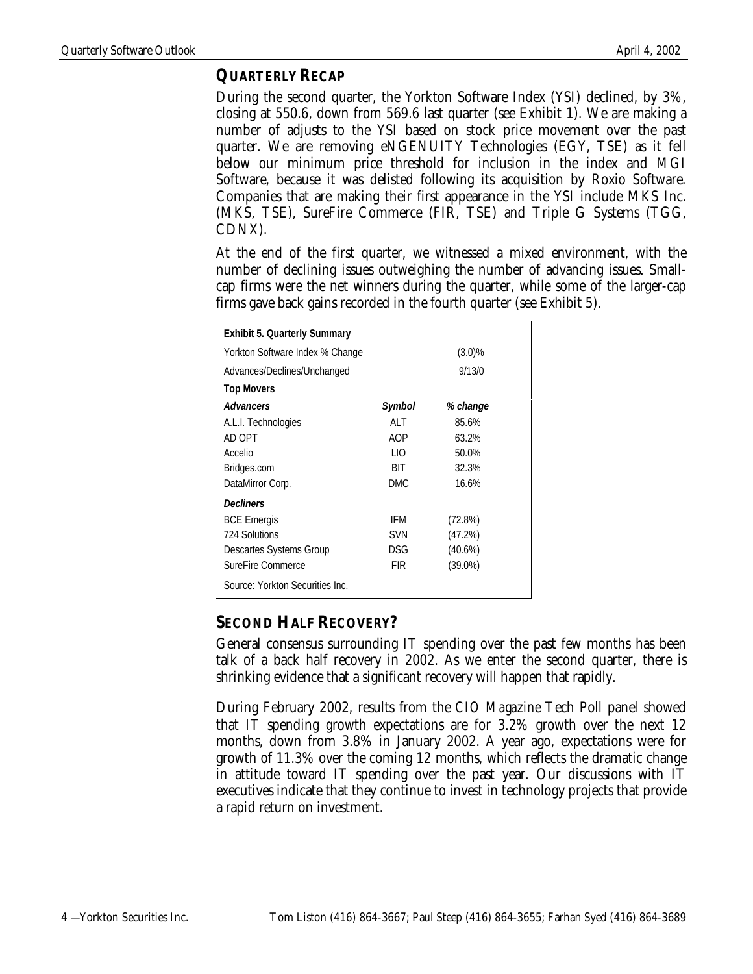## **QUARTERLY RECAP**

During the second quarter, the Yorkton Software Index (YSI) declined, by 3%, closing at 550.6, down from 569.6 last quarter (see Exhibit 1). We are making a number of adjusts to the YSI based on stock price movement over the past quarter. We are removing eNGENUITY Technologies (EGY, TSE) as it fell below our minimum price threshold for inclusion in the index and MGI Software, because it was delisted following its acquisition by Roxio Software. Companies that are making their first appearance in the YSI include MKS Inc. (MKS, TSE), SureFire Commerce (FIR, TSE) and Triple G Systems (TGG, CDNX).

At the end of the first quarter, we witnessed a mixed environment, with the number of declining issues outweighing the number of advancing issues. Smallcap firms were the net winners during the quarter, while some of the larger-cap firms gave back gains recorded in the fourth quarter (see Exhibit 5).

| <b>Exhibit 5. Quarterly Summary</b> |            |            |
|-------------------------------------|------------|------------|
| Yorkton Software Index % Change     |            | $(3.0)\%$  |
| Advances/Declines/Unchanged         |            | 9/13/0     |
| <b>Top Movers</b>                   |            |            |
| <b>Advancers</b>                    | Symbol     | % change   |
| A.L.I. Technologies                 | AI T       | 85.6%      |
| AD OPT                              | AOP        | 63.2%      |
| Accelio                             | I IO       | 50.0%      |
| Bridges.com                         | BIT        | 32.3%      |
| DataMirror Corp.                    | DMC        | 16.6%      |
| <b>Decliners</b>                    |            |            |
| <b>BCE Emergis</b>                  | IFM        | (72.8%)    |
| 724 Solutions                       | <b>SVN</b> | (47.2%)    |
| Descartes Systems Group             | DSG.       | $(40.6\%)$ |
| SureFire Commerce                   | FIR        | $(39.0\%)$ |
| Source: Yorkton Securities Inc.     |            |            |

# **SECOND HALF RECOVERY?**

General consensus surrounding IT spending over the past few months has been talk of a back half recovery in 2002. As we enter the second quarter, there is shrinking evidence that a significant recovery will happen that rapidly.

During February 2002, results from the *CIO Magazine* Tech Poll panel showed that IT spending growth expectations are for 3.2% growth over the next 12 months, down from 3.8% in January 2002. A year ago, expectations were for growth of 11.3% over the coming 12 months, which reflects the dramatic change in attitude toward IT spending over the past year. Our discussions with IT executives indicate that they continue to invest in technology projects that provide a rapid return on investment.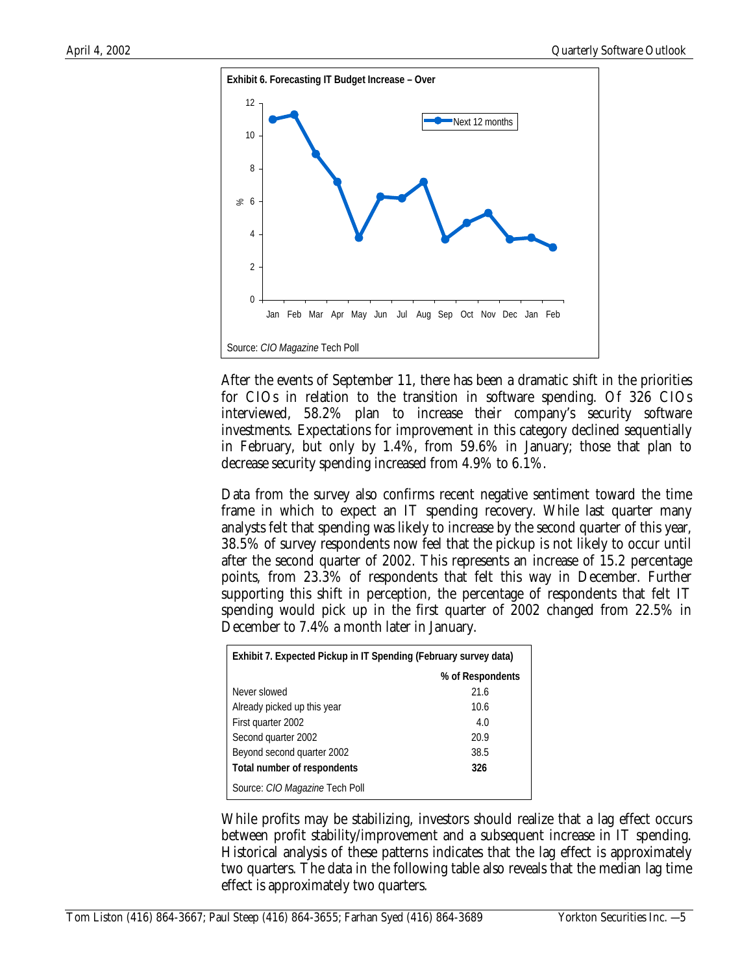

After the events of September 11, there has been a dramatic shift in the priorities for CIOs in relation to the transition in software spending. Of 326 CIOs interviewed, 58.2% plan to increase their company's security software investments. Expectations for improvement in this category declined sequentially in February, but only by 1.4%, from 59.6% in January; those that plan to decrease security spending increased from 4.9% to 6.1%.

Data from the survey also confirms recent negative sentiment toward the time frame in which to expect an IT spending recovery. While last quarter many analysts felt that spending was likely to increase by the second quarter of this year, 38.5% of survey respondents now feel that the pickup is not likely to occur until after the second quarter of 2002. This represents an increase of 15.2 percentage points, from 23.3% of respondents that felt this way in December. Further supporting this shift in perception, the percentage of respondents that felt IT spending would pick up in the first quarter of 2002 changed from 22.5% in December to 7.4% a month later in January.

| Exhibit 7. Expected Pickup in IT Spending (February survey data) |                  |  |  |  |  |  |  |
|------------------------------------------------------------------|------------------|--|--|--|--|--|--|
|                                                                  | % of Respondents |  |  |  |  |  |  |
| Never slowed                                                     | 21.6             |  |  |  |  |  |  |
| Already picked up this year                                      | 10.6             |  |  |  |  |  |  |
| First quarter 2002                                               | 4.0              |  |  |  |  |  |  |
| Second quarter 2002                                              | 20.9             |  |  |  |  |  |  |
| Beyond second quarter 2002                                       | 38.5             |  |  |  |  |  |  |
| Total number of respondents                                      | 326              |  |  |  |  |  |  |
| Source: CIO Magazine Tech Poll                                   |                  |  |  |  |  |  |  |

While profits may be stabilizing, investors should realize that a lag effect occurs between profit stability/improvement and a subsequent increase in IT spending. Historical analysis of these patterns indicates that the lag effect is approximately two quarters. The data in the following table also reveals that the median lag time effect is approximately two quarters.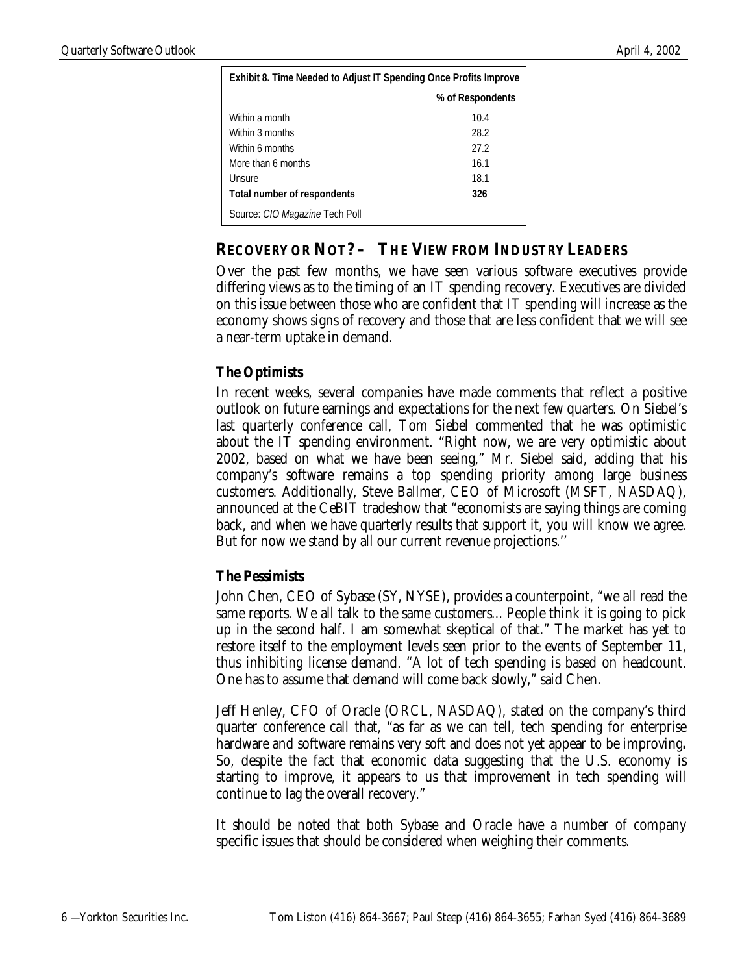| <b>Exhibit 8. Time Needed to Adjust IT Spending Once Profits Improve</b> |                  |
|--------------------------------------------------------------------------|------------------|
|                                                                          | % of Respondents |
| Within a month                                                           | 10.4             |
| Within 3 months                                                          | 28.2             |
| Within 6 months                                                          | 27.2             |
| More than 6 months                                                       | 16.1             |
| Unsure                                                                   | 18.1             |
| Total number of respondents                                              | 326              |
| Source: CIO Magazine Tech Poll                                           |                  |

## **RECOVERY OR NOT? – THE VIEW FROM INDUSTRY LEADERS**

Over the past few months, we have seen various software executives provide differing views as to the timing of an IT spending recovery. Executives are divided on this issue between those who are confident that IT spending will increase as the economy shows signs of recovery and those that are less confident that we will see a near-term uptake in demand.

#### **The Optimists**

In recent weeks, several companies have made comments that reflect a positive outlook on future earnings and expectations for the next few quarters. On Siebel's last quarterly conference call, Tom Siebel commented that he was optimistic about the IT spending environment. "Right now, we are very optimistic about 2002, based on what we have been seeing," Mr. Siebel said, adding that his company's software remains a top spending priority among large business customers. Additionally, Steve Ballmer, CEO of Microsoft (MSFT, NASDAQ), announced at the CeBIT tradeshow that "economists are saying things are coming back, and when we have quarterly results that support it, you will know we agree. But for now we stand by all our current revenue projections.''

#### **The Pessimists**

John Chen, CEO of Sybase (SY, NYSE), provides a counterpoint, "we all read the same reports. We all talk to the same customers... People think it is going to pick up in the second half. I am somewhat skeptical of that." The market has yet to restore itself to the employment levels seen prior to the events of September 11, thus inhibiting license demand. "A lot of tech spending is based on headcount. One has to assume that demand will come back slowly," said Chen.

Jeff Henley, CFO of Oracle (ORCL, NASDAQ), stated on the company's third quarter conference call that, "as far as we can tell, tech spending for enterprise hardware and software remains very soft and does not yet appear to be improving**.** So, despite the fact that economic data suggesting that the U.S. economy is starting to improve, it appears to us that improvement in tech spending will continue to lag the overall recovery."

It should be noted that both Sybase and Oracle have a number of company specific issues that should be considered when weighing their comments.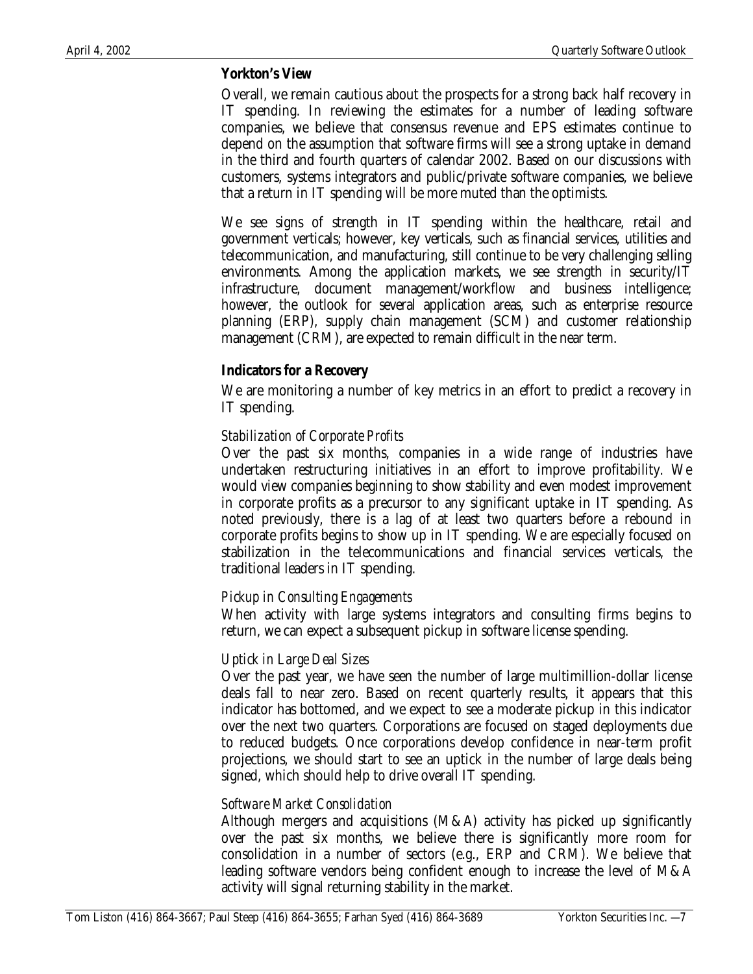#### **Yorkton's View**

Overall, we remain cautious about the prospects for a strong back half recovery in IT spending. In reviewing the estimates for a number of leading software companies, we believe that consensus revenue and EPS estimates continue to depend on the assumption that software firms will see a strong uptake in demand in the third and fourth quarters of calendar 2002. Based on our discussions with customers, systems integrators and public/private software companies, we believe that a return in IT spending will be more muted than the optimists.

We see signs of strength in IT spending within the healthcare, retail and government verticals; however, key verticals, such as financial services, utilities and telecommunication, and manufacturing, still continue to be very challenging selling environments. Among the application markets, we see strength in security/IT infrastructure, document management/workflow and business intelligence; however, the outlook for several application areas, such as enterprise resource planning (ERP), supply chain management (SCM) and customer relationship management (CRM), are expected to remain difficult in the near term.

#### **Indicators for a Recovery**

We are monitoring a number of key metrics in an effort to predict a recovery in IT spending.

#### *Stabilization of Corporate Profits*

Over the past six months, companies in a wide range of industries have undertaken restructuring initiatives in an effort to improve profitability. We would view companies beginning to show stability and even modest improvement in corporate profits as a precursor to any significant uptake in IT spending. As noted previously, there is a lag of at least two quarters before a rebound in corporate profits begins to show up in IT spending. We are especially focused on stabilization in the telecommunications and financial services verticals, the traditional leaders in IT spending.

#### *Pickup in Consulting Engagements*

When activity with large systems integrators and consulting firms begins to return, we can expect a subsequent pickup in software license spending.

#### *Uptick in Large Deal Sizes*

Over the past year, we have seen the number of large multimillion-dollar license deals fall to near zero. Based on recent quarterly results, it appears that this indicator has bottomed, and we expect to see a moderate pickup in this indicator over the next two quarters. Corporations are focused on staged deployments due to reduced budgets. Once corporations develop confidence in near-term profit projections, we should start to see an uptick in the number of large deals being signed, which should help to drive overall IT spending.

#### *Software Market Consolidation*

Although mergers and acquisitions (M&A) activity has picked up significantly over the past six months, we believe there is significantly more room for consolidation in a number of sectors (e.g., ERP and CRM). We believe that leading software vendors being confident enough to increase the level of M&A activity will signal returning stability in the market.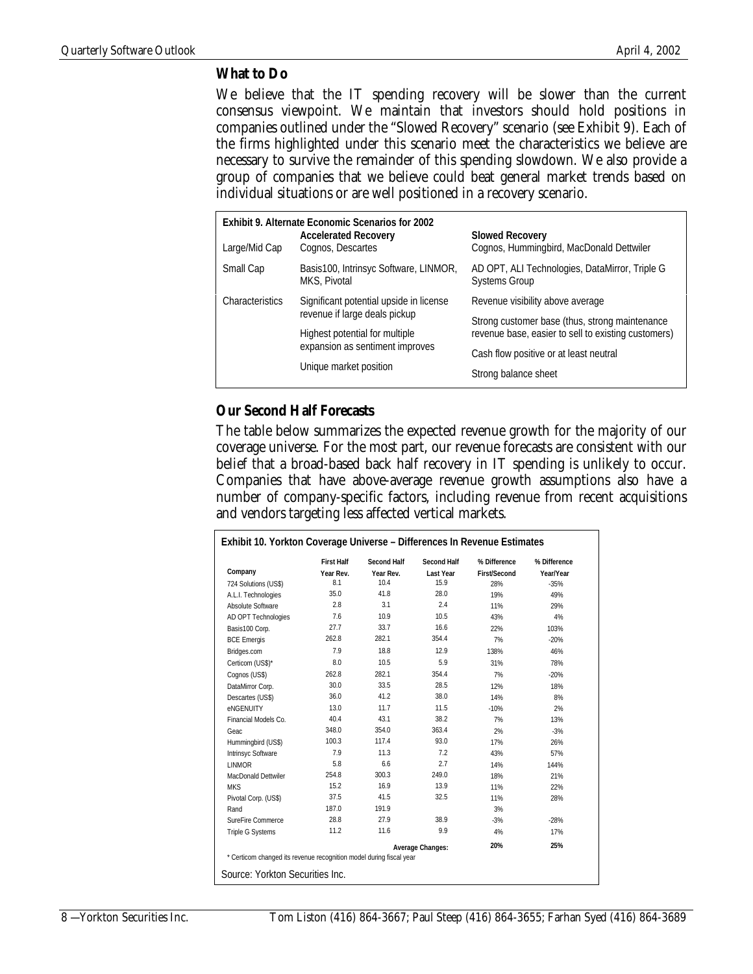#### **What to Do**

We believe that the IT spending recovery will be slower than the current consensus viewpoint. We maintain that investors should hold positions in companies outlined under the "Slowed Recovery" scenario (see Exhibit 9). Each of the firms highlighted under this scenario meet the characteristics we believe are necessary to survive the remainder of this spending slowdown. We also provide a group of companies that we believe could beat general market trends based on individual situations or are well positioned in a recovery scenario.

|                 | Exhibit 9. Alternate Economic Scenarios for 2002      |                                                                        |  |  |  |  |  |  |  |  |
|-----------------|-------------------------------------------------------|------------------------------------------------------------------------|--|--|--|--|--|--|--|--|
| Large/Mid Cap   | <b>Accelerated Recovery</b><br>Cognos, Descartes      | <b>Slowed Recovery</b><br>Cognos, Hummingbird, MacDonald Dettwiler     |  |  |  |  |  |  |  |  |
| Small Cap       | Basis100, Intrinsyc Software, LINMOR,<br>MKS, Pivotal | AD OPT, ALI Technologies, DataMirror, Triple G<br><b>Systems Group</b> |  |  |  |  |  |  |  |  |
| Characteristics | Significant potential upside in license               | Revenue visibility above average                                       |  |  |  |  |  |  |  |  |
|                 | revenue if large deals pickup                         | Strong customer base (thus, strong maintenance                         |  |  |  |  |  |  |  |  |
|                 | Highest potential for multiple                        | revenue base, easier to sell to existing customers)                    |  |  |  |  |  |  |  |  |
|                 | expansion as sentiment improves                       | Cash flow positive or at least neutral                                 |  |  |  |  |  |  |  |  |
|                 | Unique market position                                | Strong balance sheet                                                   |  |  |  |  |  |  |  |  |

#### **Our Second Half Forecasts**

The table below summarizes the expected revenue growth for the majority of our coverage universe. For the most part, our revenue forecasts are consistent with our belief that a broad-based back half recovery in IT spending is unlikely to occur. Companies that have above-average revenue growth assumptions also have a number of company-specific factors, including revenue from recent acquisitions and vendors targeting less affected vertical markets.

|                                                                     | <b>First Half</b> | <b>Second Half</b> | <b>Second Half</b>      | % Difference | % Difference |
|---------------------------------------------------------------------|-------------------|--------------------|-------------------------|--------------|--------------|
| Company                                                             | Year Rev.         | Year Rev.          | <b>Last Year</b>        | First/Second | Year/Year    |
| 724 Solutions (US\$)                                                | 8.1               | 10.4               | 15.9                    | 28%          | $-35%$       |
| A.L.I. Technologies                                                 | 35.0              | 41.8               | 28.0                    | 19%          | 49%          |
| Absolute Software                                                   | 2.8               | 3.1                | 2.4                     | 11%          | 29%          |
| AD OPT Technologies                                                 | 7.6               | 10.9               | 10.5                    | 43%          | 4%           |
| Basis100 Corp.                                                      | 27.7              | 33.7               | 16.6                    | 22%          | 103%         |
| <b>BCE Emergis</b>                                                  | 262.8             | 282.1              | 354.4                   | 7%           | $-20%$       |
| Bridges.com                                                         | 7.9               | 18.8               | 12.9                    | 138%         | 46%          |
| Certicom (US\$)*                                                    | 8.0               | 10.5               | 5.9                     | 31%          | 78%          |
| Cognos (US\$)                                                       | 262.8             | 282.1              | 354.4                   | 7%           | $-20%$       |
| DataMirror Corp.                                                    | 30.0              | 33.5               | 28.5                    | 12%          | 18%          |
| Descartes (US\$)                                                    | 36.0              | 41.2               | 38.0                    | 14%          | 8%           |
| eNGENUITY                                                           | 13.0              | 11.7               | 11.5                    | $-10%$       | 2%           |
| Financial Models Co.                                                | 40.4              | 43.1               | 38.2                    | 7%           | 13%          |
| Geac                                                                | 348.0             | 354.0              | 363.4                   | 2%           | $-3%$        |
| Hummingbird (US\$)                                                  | 100.3             | 117.4              | 93.0                    | 17%          | 26%          |
| Intrinsyc Software                                                  | 7.9               | 11.3               | 7.2                     | 43%          | 57%          |
| <b>I INMOR</b>                                                      | 5.8               | 6.6                | 2.7                     | 14%          | 144%         |
| MacDonald Dettwiler                                                 | 254.8             | 300.3              | 249.0                   | 18%          | 21%          |
| <b>MKS</b>                                                          | 15.2              | 16.9               | 13.9                    | 11%          | 22%          |
| Pivotal Corp. (US\$)                                                | 37.5              | 41.5               | 32.5                    | 11%          | 28%          |
| Rand                                                                | 187.0             | 191.9              |                         | 3%           |              |
| SureFire Commerce                                                   | 28.8              | 27.9               | 38.9                    | $-3%$        | $-28%$       |
| <b>Triple G Systems</b>                                             | 11.2              | 11.6               | 9.9                     | 4%           | 17%          |
| * Certicom changed its revenue recognition model during fiscal year |                   |                    | <b>Average Changes:</b> | 20%          | 25%          |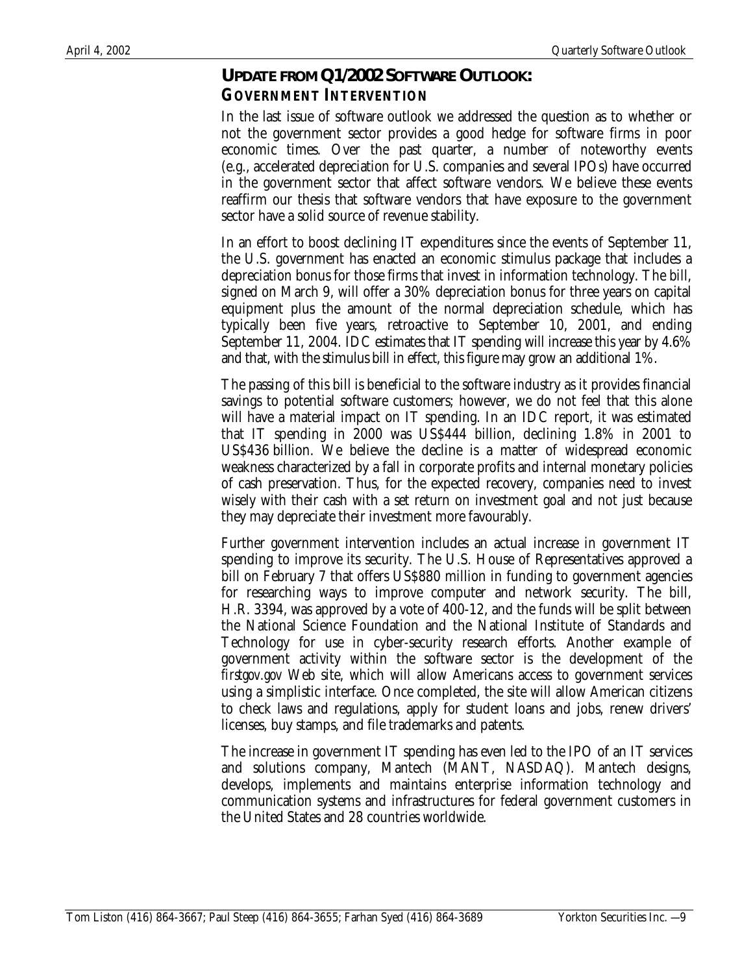# *UPDATE FROM Q1/2002 SOFTWARE OUTLOOK:* **GOVERNMENT INTERVENTION**

In the last issue of software outlook we addressed the question as to whether or not the government sector provides a good hedge for software firms in poor economic times. Over the past quarter, a number of noteworthy events (e.g., accelerated depreciation for U.S. companies and several IPOs) have occurred in the government sector that affect software vendors. We believe these events reaffirm our thesis that software vendors that have exposure to the government sector have a solid source of revenue stability.

In an effort to boost declining IT expenditures since the events of September 11, the U.S. government has enacted an economic stimulus package that includes a depreciation bonus for those firms that invest in information technology. The bill, signed on March 9, will offer a 30% depreciation bonus for three years on capital equipment plus the amount of the normal depreciation schedule, which has typically been five years, retroactive to September 10, 2001, and ending September 11, 2004. IDC estimates that IT spending will increase this year by 4.6% and that, with the stimulus bill in effect, this figure may grow an additional 1%.

The passing of this bill is beneficial to the software industry as it provides financial savings to potential software customers; however, we do not feel that this alone will have a material impact on IT spending. In an IDC report, it was estimated that IT spending in 2000 was US\$444 billion, declining 1.8% in 2001 to US\$436 billion. We believe the decline is a matter of widespread economic weakness characterized by a fall in corporate profits and internal monetary policies of cash preservation. Thus, for the expected recovery, companies need to invest wisely with their cash with a set return on investment goal and not just because they may depreciate their investment more favourably.

Further government intervention includes an actual increase in government IT spending to improve its security. The U.S. House of Representatives approved a bill on February 7 that offers US\$880 million in funding to government agencies for researching ways to improve computer and network security. The bill, H.R. 3394, was approved by a vote of 400-12, and the funds will be split between the National Science Foundation and the National Institute of Standards and Technology for use in cyber-security research efforts. Another example of government activity within the software sector is the development of the *firstgov.gov* Web site, which will allow Americans access to government services using a simplistic interface. Once completed, the site will allow American citizens to check laws and regulations, apply for student loans and jobs, renew drivers' licenses, buy stamps, and file trademarks and patents.

The increase in government IT spending has even led to the IPO of an IT services and solutions company, Mantech (MANT, NASDAQ). Mantech designs, develops, implements and maintains enterprise information technology and communication systems and infrastructures for federal government customers in the United States and 28 countries worldwide.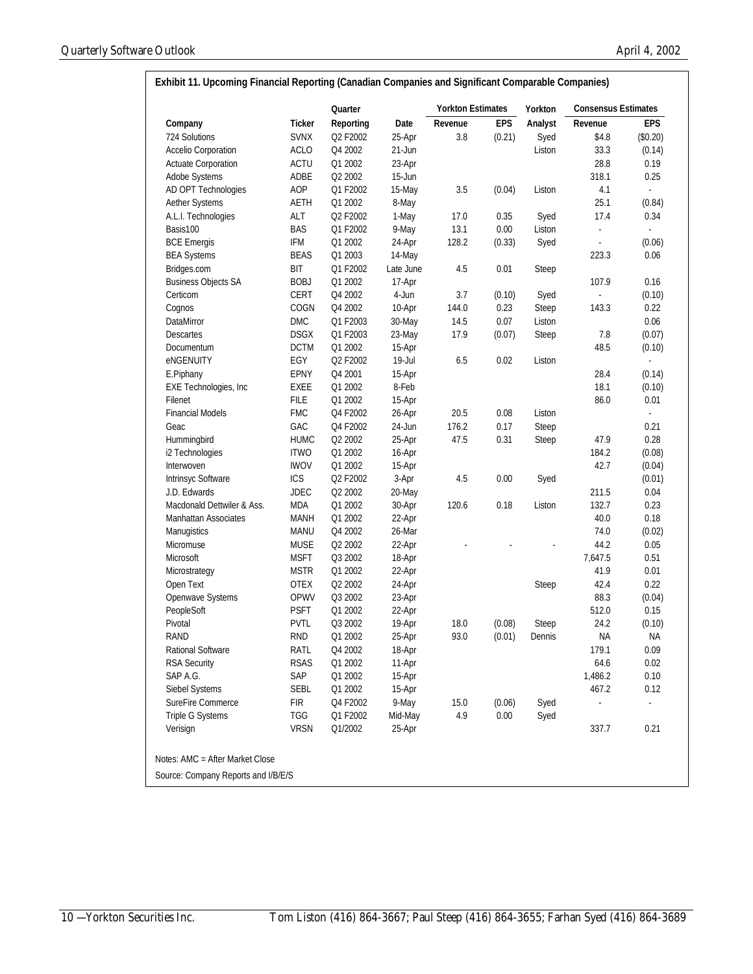|                               |               | Quarter                         |            | <b>Yorkton Estimates</b> |            | Yorkton | <b>Consensus Estimates</b> |                  |
|-------------------------------|---------------|---------------------------------|------------|--------------------------|------------|---------|----------------------------|------------------|
| Company                       | <b>Ticker</b> | Reporting                       | Date       | Revenue                  | <b>EPS</b> | Analyst | Revenue                    | <b>EPS</b>       |
| 724 Solutions                 | <b>SVNX</b>   | Q2 F2002                        | 25-Apr     | 3.8                      | (0.21)     | Syed    | \$4.8                      | (\$0.20)         |
| Accelio Corporation           | <b>ACLO</b>   | Q4 2002                         | $21 - Jun$ |                          |            | Liston  | 33.3                       | (0.14)           |
| <b>Actuate Corporation</b>    | ACTU          | Q1 2002                         | 23-Apr     |                          |            |         | 28.8                       | 0.19             |
| Adobe Systems                 | ADBE          | Q2 2002                         | $15 - Jun$ |                          |            |         | 318.1                      | 0.25             |
| AD OPT Technologies           | AOP           | Q1 F2002                        | 15-May     | 3.5                      | (0.04)     | Liston  | 4.1                        | $\blacksquare$   |
| Aether Systems                | AETH          | Q1 2002                         | 8-May      |                          |            |         | 25.1                       | (0.84)           |
| A.L.I. Technologies           | ALT           | Q2 F2002                        | 1-May      | 17.0                     | 0.35       | Syed    | 17.4                       | 0.34             |
| Basis100                      | <b>BAS</b>    | Q1 F2002                        | 9-May      | 13.1                     | 0.00       | Liston  | $\overline{a}$             | ä,               |
| <b>BCE Emergis</b>            | IFM           | Q1 2002                         | 24-Apr     | 128.2                    | (0.33)     | Syed    |                            | (0.06)           |
| <b>BEA Systems</b>            | <b>BEAS</b>   | Q1 2003                         | 14-May     |                          |            |         | 223.3                      | 0.06             |
| Bridges.com                   | BIT           | Q1 F2002                        | Late June  | 4.5                      | 0.01       | Steep   |                            |                  |
| <b>Business Objects SA</b>    | <b>BOBJ</b>   | Q1 2002                         | 17-Apr     |                          |            |         | 107.9                      | 0.16             |
| Certicom                      | CERT          | Q4 2002                         | 4-Jun      | 3.7                      | (0.10)     | Syed    | $\omega$                   | (0.10)           |
| Cognos                        | <b>COGN</b>   | Q4 2002                         | 10-Apr     | 144.0                    | 0.23       | Steep   | 143.3                      | 0.22             |
| DataMirror                    | DMC           | Q1 F2003                        | 30-May     | 14.5                     | 0.07       | Liston  |                            | 0.06             |
| Descartes                     | <b>DSGX</b>   | Q1 F2003                        | 23-May     | 17.9                     | (0.07)     | Steep   | 7.8                        | (0.07)           |
| Documentum                    | <b>DCTM</b>   | Q1 2002                         | 15-Apr     |                          |            |         | 48.5                       | (0.10)           |
| eNGENUITY                     | EGY           | Q2 F2002                        | $19 -$ Jul | 6.5                      | 0.02       | Liston  |                            | $\blacksquare$   |
| E.Piphany                     | <b>EPNY</b>   | Q4 2001                         | 15-Apr     |                          |            |         | 28.4                       | (0.14)           |
| <b>EXE Technologies, Inc.</b> | EXEE          | Q1 2002                         | 8-Feb      |                          |            |         | 18.1                       | (0.10)           |
| Filenet                       | <b>FILE</b>   | Q1 2002                         | 15-Apr     |                          |            |         | 86.0                       | 0.01             |
| <b>Financial Models</b>       | <b>FMC</b>    | Q4 F2002                        | 26-Apr     | 20.5                     | 0.08       | Liston  |                            | $\omega_{\rm c}$ |
| Geac                          | GAC           | Q4 F2002                        | 24-Jun     | 176.2                    | 0.17       | Steep   |                            | 0.21             |
| Hummingbird                   | <b>HUMC</b>   | Q2 2002                         | 25-Apr     | 47.5                     | 0.31       | Steep   | 47.9                       | 0.28             |
| i2 Technologies               | <b>ITWO</b>   | Q1 2002                         | 16-Apr     |                          |            |         | 184.2                      | (0.08)           |
| Interwoven                    | <b>IWOV</b>   | Q1 2002                         | 15-Apr     |                          |            |         | 42.7                       | (0.04)           |
| Intrinsyc Software            | ICS           | Q2 F2002                        | 3-Apr      | 4.5                      | 0.00       | Syed    |                            | (0.01)           |
| J.D. Edwards                  | JDEC          | Q2 2002                         | 20-May     |                          |            |         | 211.5                      | 0.04             |
| Macdonald Dettwiler & Ass.    | <b>MDA</b>    | Q1 2002                         | 30-Apr     | 120.6                    | 0.18       | Liston  | 132.7                      | 0.23             |
| <b>Manhattan Associates</b>   | MANH          | Q1 2002                         | 22-Apr     |                          |            |         | 40.0                       | 0.18             |
| Manugistics                   | MANU          | Q4 2002                         | 26-Mar     |                          |            |         | 74.0                       | (0.02)           |
| Micromuse                     | <b>MUSE</b>   | Q2 2002                         | 22-Apr     |                          |            |         | 44.2                       | 0.05             |
| Microsoft                     | <b>MSFT</b>   | Q3 2002                         | 18-Apr     |                          |            |         | 7,647.5                    | 0.51             |
| Microstrategy                 | <b>MSTR</b>   | Q1 2002                         | 22-Apr     |                          |            |         | 41.9                       | 0.01             |
| Open Text                     | <b>OTEX</b>   | Q <sub>2</sub> 200 <sub>2</sub> | 24-Apr     |                          |            | Steep   | 42.4                       | 0.22             |
| Openwave Systems              | <b>OPWV</b>   | Q3 2002                         | 23-Apr     |                          |            |         | 88.3                       | (0.04)           |
| PeopleSoft                    | <b>PSFT</b>   | Q1 2002                         | 22-Apr     |                          |            |         | 512.0                      | 0.15             |
| Pivotal                       | <b>PVTL</b>   | Q3 2002                         | 19-Apr     | 18.0                     | (0.08)     | Steep   | 24.2                       | (0.10)           |
| RAND                          | <b>RND</b>    | Q1 2002                         | 25-Apr     | 93.0                     | (0.01)     | Dennis  | <b>NA</b>                  | <b>NA</b>        |
| Rational Software             | RATL          | Q4 2002                         | 18-Apr     |                          |            |         | 179.1                      | 0.09             |
| <b>RSA Security</b>           | <b>RSAS</b>   | Q1 2002                         | 11-Apr     |                          |            |         | 64.6                       | 0.02             |
| SAP A.G.                      | SAP           | Q1 2002                         | 15-Apr     |                          |            |         | 1,486.2                    | 0.10             |
| Siebel Systems                | <b>SEBL</b>   | Q1 2002                         | 15-Apr     |                          |            |         | 467.2                      | 0.12             |
| SureFire Commerce             | <b>FIR</b>    | Q4 F2002                        | 9-May      | 15.0                     | (0.06)     | Syed    |                            |                  |
| Triple G Systems              | <b>TGG</b>    | Q1 F2002                        | Mid-May    | 4.9                      | 0.00       | Syed    |                            |                  |
| Verisign                      | <b>VRSN</b>   | Q1/2002                         | 25-Apr     |                          |            |         | 337.7                      | 0.21             |
|                               |               |                                 |            |                          |            |         |                            |                  |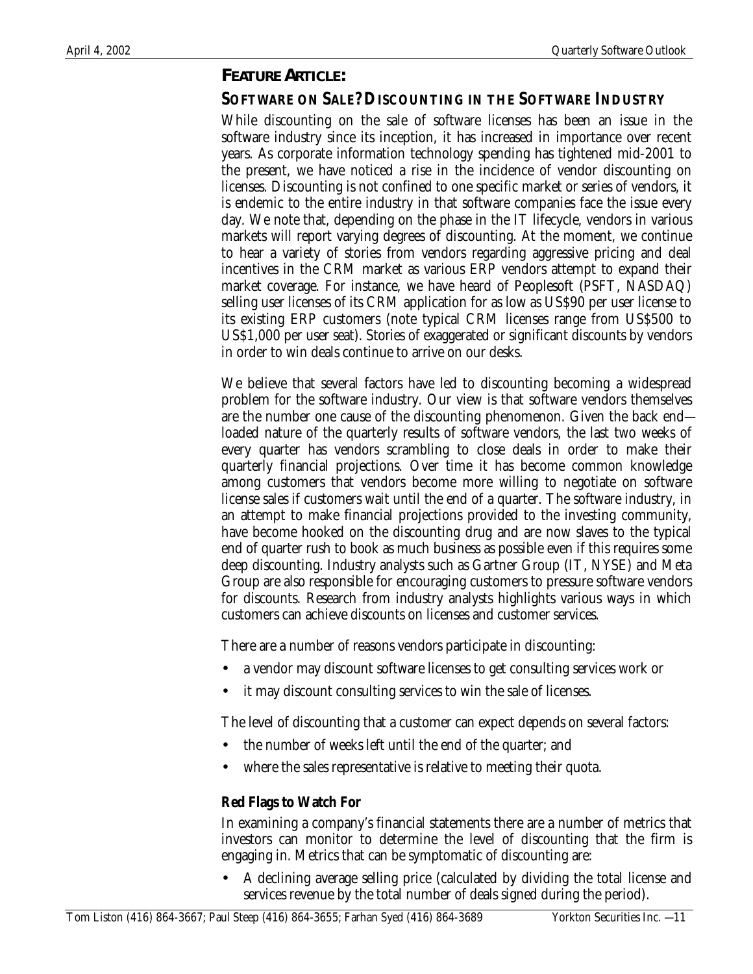#### *FEATURE ARTICLE:*

### **SOFTWARE ON SALE? DISCOUNTING IN THE SOFTWARE INDUSTRY**

While discounting on the sale of software licenses has been an issue in the software industry since its inception, it has increased in importance over recent years. As corporate information technology spending has tightened mid-2001 to the present, we have noticed a rise in the incidence of vendor discounting on licenses. Discounting is not confined to one specific market or series of vendors, it is endemic to the entire industry in that software companies face the issue every day. We note that, depending on the phase in the IT lifecycle, vendors in various markets will report varying degrees of discounting. At the moment, we continue to hear a variety of stories from vendors regarding aggressive pricing and deal incentives in the CRM market as various ERP vendors attempt to expand their market coverage. For instance, we have heard of Peoplesoft (PSFT, NASDAQ) selling user licenses of its CRM application for as low as US\$90 per user license to its existing ERP customers (note typical CRM licenses range from US\$500 to US\$1,000 per user seat). Stories of exaggerated or significant discounts by vendors in order to win deals continue to arrive on our desks.

We believe that several factors have led to discounting becoming a widespread problem for the software industry. Our view is that software vendors themselves are the number one cause of the discounting phenomenon. Given the back end loaded nature of the quarterly results of software vendors, the last two weeks of every quarter has vendors scrambling to close deals in order to make their quarterly financial projections. Over time it has become common knowledge among customers that vendors become more willing to negotiate on software license sales if customers wait until the end of a quarter. The software industry, in an attempt to make financial projections provided to the investing community, have become hooked on the discounting drug and are now slaves to the typical end of quarter rush to book as much business as possible even if this requires some deep discounting. Industry analysts such as Gartner Group (IT, NYSE) and Meta Group are also responsible for encouraging customers to pressure software vendors for discounts. Research from industry analysts highlights various ways in which customers can achieve discounts on licenses and customer services.

There are a number of reasons vendors participate in discounting:

- a vendor may discount software licenses to get consulting services work or
- it may discount consulting services to win the sale of licenses.

The level of discounting that a customer can expect depends on several factors:

- the number of weeks left until the end of the quarter; and
- where the sales representative is relative to meeting their quota.

#### **Red Flags to Watch For**

In examining a company's financial statements there are a number of metrics that investors can monitor to determine the level of discounting that the firm is engaging in. Metrics that can be symptomatic of discounting are:

• A declining average selling price (calculated by dividing the total license and services revenue by the total number of deals signed during the period).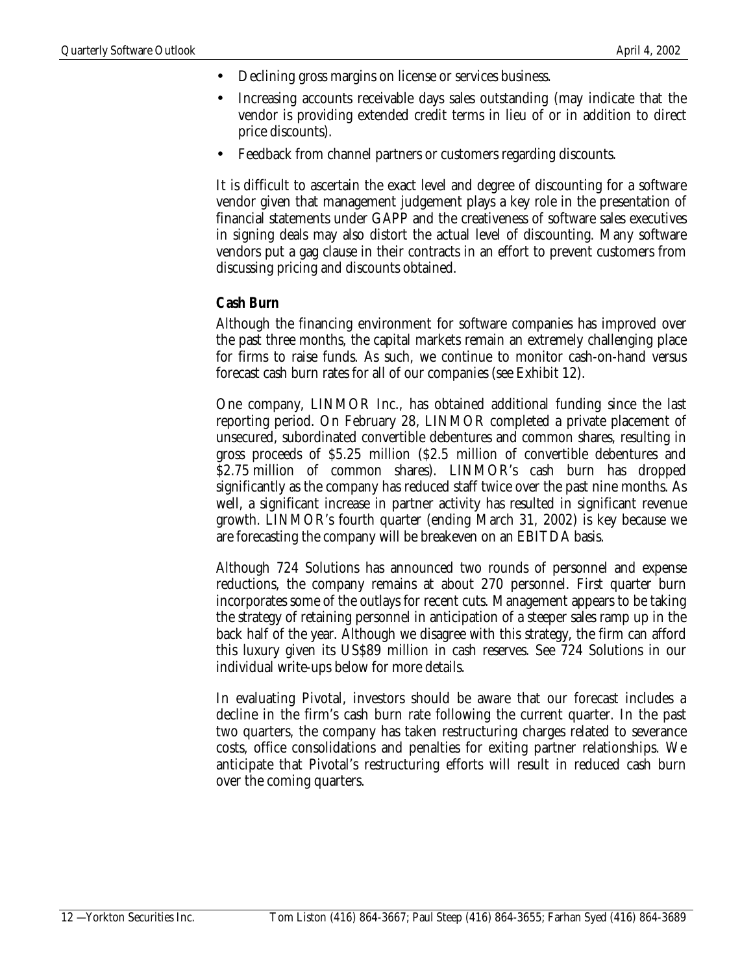- Declining gross margins on license or services business.
- Increasing accounts receivable days sales outstanding (may indicate that the vendor is providing extended credit terms in lieu of or in addition to direct price discounts).
- Feedback from channel partners or customers regarding discounts.

It is difficult to ascertain the exact level and degree of discounting for a software vendor given that management judgement plays a key role in the presentation of financial statements under GAPP and the creativeness of software sales executives in signing deals may also distort the actual level of discounting. Many software vendors put a gag clause in their contracts in an effort to prevent customers from discussing pricing and discounts obtained.

#### **Cash Burn**

Although the financing environment for software companies has improved over the past three months, the capital markets remain an extremely challenging place for firms to raise funds. As such, we continue to monitor cash-on-hand versus forecast cash burn rates for all of our companies (see Exhibit 12).

One company, LINMOR Inc., has obtained additional funding since the last reporting period. On February 28, LINMOR completed a private placement of unsecured, subordinated convertible debentures and common shares, resulting in gross proceeds of \$5.25 million (\$2.5 million of convertible debentures and \$2.75 million of common shares). LINMOR's cash burn has dropped significantly as the company has reduced staff twice over the past nine months. As well, a significant increase in partner activity has resulted in significant revenue growth. LINMOR's fourth quarter (ending March 31, 2002) is key because we are forecasting the company will be breakeven on an EBITDA basis.

Although 724 Solutions has announced two rounds of personnel and expense reductions, the company remains at about 270 personnel. First quarter burn incorporates some of the outlays for recent cuts. Management appears to be taking the strategy of retaining personnel in anticipation of a steeper sales ramp up in the back half of the year. Although we disagree with this strategy, the firm can afford this luxury given its US\$89 million in cash reserves. See 724 Solutions in our individual write-ups below for more details.

In evaluating Pivotal, investors should be aware that our forecast includes a decline in the firm's cash burn rate following the current quarter. In the past two quarters, the company has taken restructuring charges related to severance costs, office consolidations and penalties for exiting partner relationships. We anticipate that Pivotal's restructuring efforts will result in reduced cash burn over the coming quarters.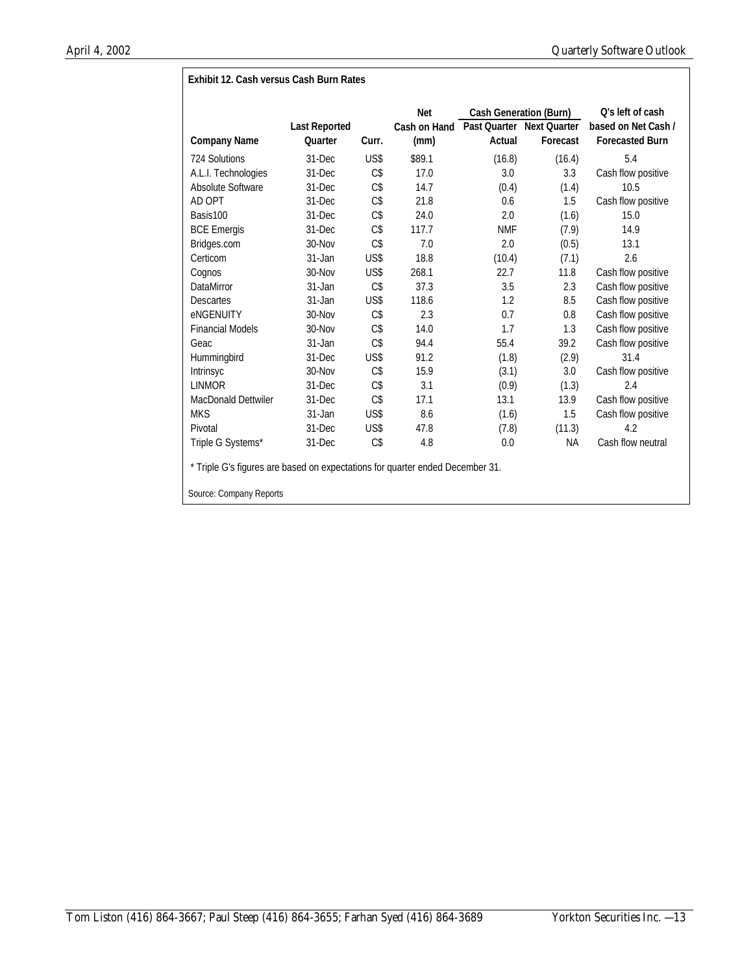|                                                                                    |                      |                | <b>Net</b>   | <b>Cash Generation (Burn)</b> |          | O's left of cash       |
|------------------------------------------------------------------------------------|----------------------|----------------|--------------|-------------------------------|----------|------------------------|
|                                                                                    | <b>Last Reported</b> |                | Cash on Hand | Past Quarter Next Quarter     |          | based on Net Cash /    |
| <b>Company Name</b>                                                                | Quarter              | Curr.          | (mm)         | Actual                        | Forecast | <b>Forecasted Burn</b> |
| 724 Solutions                                                                      | $31$ -Dec            | US\$           | \$89.1       | (16.8)                        | (16.4)   | 5.4                    |
| A.L.I. Technologies                                                                | 31-Dec               | C <sub>5</sub> | 17.0         | 3.0                           | 3.3      | Cash flow positive     |
| Absolute Software                                                                  | 31-Dec               | C <sub>5</sub> | 14.7         | (0.4)                         | (1.4)    | 10.5                   |
| AD OPT                                                                             | 31-Dec               | C <sub>5</sub> | 21.8         | 0.6                           | 1.5      | Cash flow positive     |
| Basis100                                                                           | 31-Dec               | C <sub>5</sub> | 24.0         | 2.0                           | (1.6)    | 15.0                   |
| <b>BCE Emergis</b>                                                                 | 31-Dec               | C <sub>5</sub> | 117.7        | <b>NMF</b>                    | (7.9)    | 14.9                   |
| Bridges.com                                                                        | 30-Nov               | C <sub>5</sub> | 7.0          | 2.0                           | (0.5)    | 13.1                   |
| Certicom                                                                           | $31 - Jan$           | US\$           | 18.8         | (10.4)                        | (7.1)    | 2.6                    |
| Cognos                                                                             | $30 - Nov$           | US\$           | 268.1        | 22.7                          | 11.8     | Cash flow positive     |
| <b>DataMirror</b>                                                                  | $31-Jan$             | C <sub>5</sub> | 37.3         | 3.5                           | 2.3      | Cash flow positive     |
| <b>Descartes</b>                                                                   | $31 - Jan$           | US\$           | 118.6        | 1.2                           | 8.5      | Cash flow positive     |
| eNGENUITY                                                                          | $30 - Nov$           | C <sub>5</sub> | 2.3          | 0.7                           | 0.8      | Cash flow positive     |
| <b>Financial Models</b>                                                            | 30-Nov               | C <sub>5</sub> | 14.0         | 1.7                           | 1.3      | Cash flow positive     |
| Geac                                                                               | $31 - Jan$           | $C\$           | 94.4         | 55.4                          | 39.2     | Cash flow positive     |
| Hummingbird                                                                        | 31-Dec               | US\$           | 91.2         | (1.8)                         | (2.9)    | 31.4                   |
| Intrinsyc                                                                          | 30-Nov               | C <sub>5</sub> | 15.9         | (3.1)                         | 3.0      | Cash flow positive     |
| <b>LINMOR</b>                                                                      | 31-Dec               | C\$            | 3.1          | (0.9)                         | (1.3)    | 2.4                    |
| <b>MacDonald Dettwiler</b>                                                         | 31-Dec               | C <sub>5</sub> | 17.1         | 13.1                          | 13.9     | Cash flow positive     |
| <b>MKS</b>                                                                         | $31 - Jan$           | US\$           | 8.6          | (1.6)                         | 1.5      | Cash flow positive     |
| Pivotal                                                                            | 31-Dec               | US\$           | 47.8         | (7.8)                         | (11.3)   | 4.2                    |
| C\$<br>Cash flow neutral<br>Triple G Systems*<br>31-Dec<br>4.8<br>0.0<br><b>NA</b> |                      |                |              |                               |          |                        |
| * Triple G's figures are based on expectations for quarter ended December 31.      |                      |                |              |                               |          |                        |
| Source: Company Reports                                                            |                      |                |              |                               |          |                        |

#### **Exhibit 12. Cash versus Cash Burn Rates**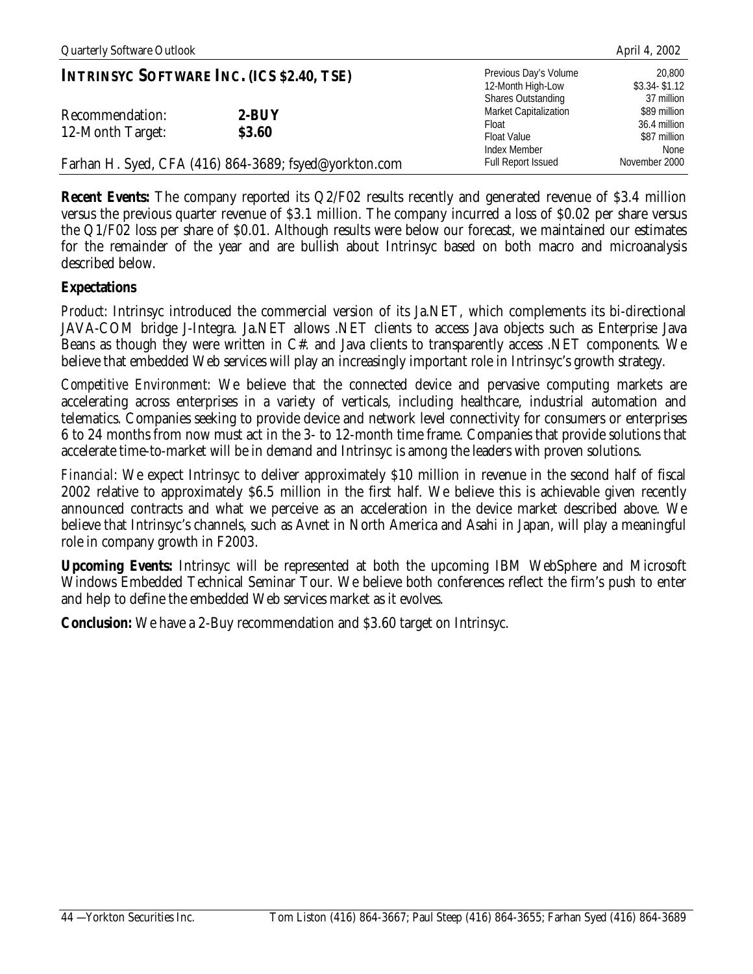|                                     | <b>INTRINSYC SOFTWARE INC. (ICS \$2.40, TSE)</b>      | Previous Day's Volume<br>12-Month High-Low<br><b>Shares Outstanding</b>            | 20,800<br>$$3.34 - $1.12$<br>37 million              |
|-------------------------------------|-------------------------------------------------------|------------------------------------------------------------------------------------|------------------------------------------------------|
| Recommendation:<br>12-Month Target: | $2$ -BUY<br>\$3.60                                    | <b>Market Capitalization</b><br>Float<br><b>Float Value</b><br><b>Index Member</b> | \$89 million<br>36.4 million<br>\$87 million<br>None |
|                                     | Farhan H. Syed, CFA (416) 864-3689; fsyed@yorkton.com | <b>Full Report Issued</b>                                                          | November 2000                                        |

**Recent Events:** The company reported its Q2/F02 results recently and generated revenue of \$3.4 million versus the previous quarter revenue of \$3.1 million. The company incurred a loss of \$0.02 per share versus the Q1/F02 loss per share of \$0.01. Although results were below our forecast, we maintained our estimates for the remainder of the year and are bullish about Intrinsyc based on both macro and microanalysis described below.

#### **Expectations**

*Product*: Intrinsyc introduced the commercial version of its Ja.NET, which complements its bi-directional JAVA-COM bridge J-Integra. Ja.NET allows .NET clients to access Java objects such as Enterprise Java Beans as though they were written in C#. and Java clients to transparently access .NET components. We believe that embedded Web services will play an increasingly important role in Intrinsyc's growth strategy.

*Competitive Environment:* We believe that the connected device and pervasive computing markets are accelerating across enterprises in a variety of verticals, including healthcare, industrial automation and telematics. Companies seeking to provide device and network level connectivity for consumers or enterprises 6 to 24 months from now must act in the 3- to 12-month time frame. Companies that provide solutions that accelerate time-to-market will be in demand and Intrinsyc is among the leaders with proven solutions.

*Financial*: We expect Intrinsyc to deliver approximately \$10 million in revenue in the second half of fiscal 2002 relative to approximately \$6.5 million in the first half. We believe this is achievable given recently announced contracts and what we perceive as an acceleration in the device market described above. We believe that Intrinsyc's channels, such as Avnet in North America and Asahi in Japan, will play a meaningful role in company growth in F2003.

**Upcoming Events:** Intrinsyc will be represented at both the upcoming IBM WebSphere and Microsoft Windows Embedded Technical Seminar Tour. We believe both conferences reflect the firm's push to enter and help to define the embedded Web services market as it evolves.

**Conclusion:** We have a 2-Buy recommendation and \$3.60 target on Intrinsyc.